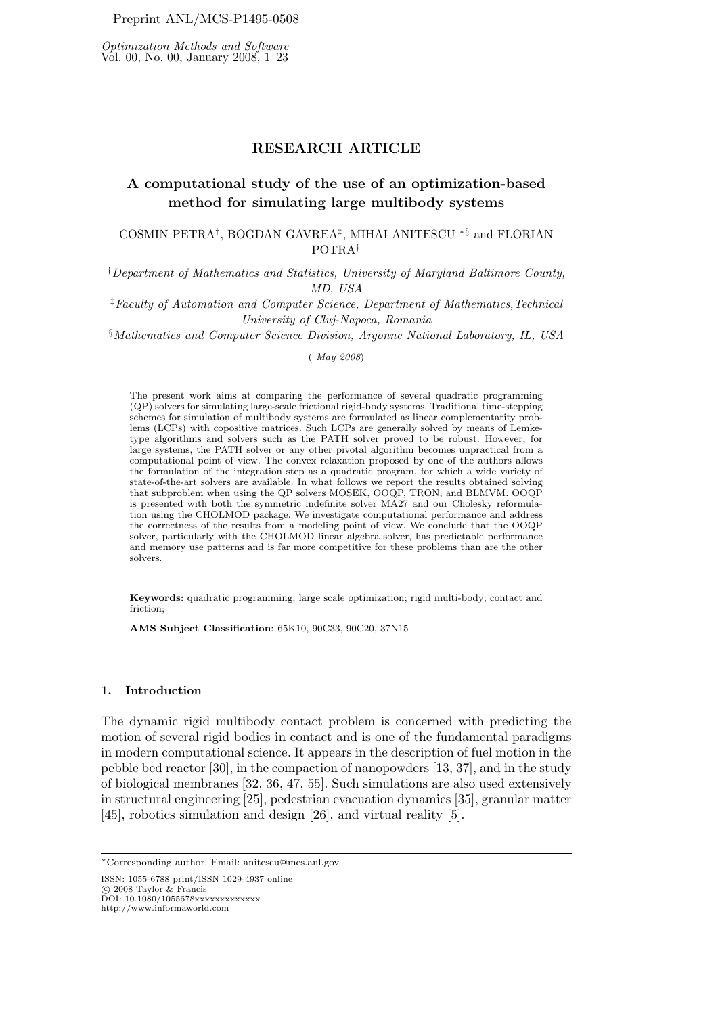Optimization Methods and Software Vol. 00, No. 00, January 2008, 1–23

# RESEARCH ARTICLE

# A computational study of the use of an optimization-based method for simulating large multibody systems

# COSMIN PETRA<sup>†</sup>, BOGDAN GAVREA<sup>‡</sup>, MIHAI ANITESCU <sup>∗§</sup> and FLORIAN POTRA†

†Department of Mathematics and Statistics, University of Maryland Baltimore County, MD, USA

‡Faculty of Automation and Computer Science, Department of Mathematics,Technical University of Cluj-Napoca, Romania

§Mathematics and Computer Science Division, Argonne National Laboratory, IL, USA

( May 2008)

The present work aims at comparing the performance of several quadratic programming (QP) solvers for simulating large-scale frictional rigid-body systems. Traditional time-stepping schemes for simulation of multibody systems are formulated as linear complementarity problems (LCPs) with copositive matrices. Such LCPs are generally solved by means of Lemketype algorithms and solvers such as the PATH solver proved to be robust. However, for large systems, the PATH solver or any other pivotal algorithm becomes unpractical from a computational point of view. The convex relaxation proposed by one of the authors allows the formulation of the integration step as a quadratic program, for which a wide variety of state-of-the-art solvers are available. In what follows we report the results obtained solving that subproblem when using the QP solvers MOSEK, OOQP, TRON, and BLMVM. OOQP is presented with both the symmetric indefinite solver MA27 and our Cholesky reformulation using the CHOLMOD package. We investigate computational performance and address the correctness of the results from a modeling point of view. We conclude that the OOQP solver, particularly with the CHOLMOD linear algebra solver, has predictable performance and memory use patterns and is far more competitive for these problems than are the other solvers.

Keywords: quadratic programming; large scale optimization; rigid multi-body; contact and friction;

AMS Subject Classification: 65K10, 90C33, 90C20, 37N15

#### 1. Introduction

The dynamic rigid multibody contact problem is concerned with predicting the motion of several rigid bodies in contact and is one of the fundamental paradigms in modern computational science. It appears in the description of fuel motion in the pebble bed reactor [30], in the compaction of nanopowders [13, 37], and in the study of biological membranes [32, 36, 47, 55]. Such simulations are also used extensively in structural engineering [25], pedestrian evacuation dynamics [35], granular matter [45], robotics simulation and design [26], and virtual reality [5].

ISSN: 1055-6788 print/ISSN 1029-4937 online

© 2008 Taylor & Francis<br>DOI: 10.1080/1055678xxxxxxxxxxxxx

http://www.informaworld.com

<sup>∗</sup>Corresponding author. Email: anitescu@mcs.anl.gov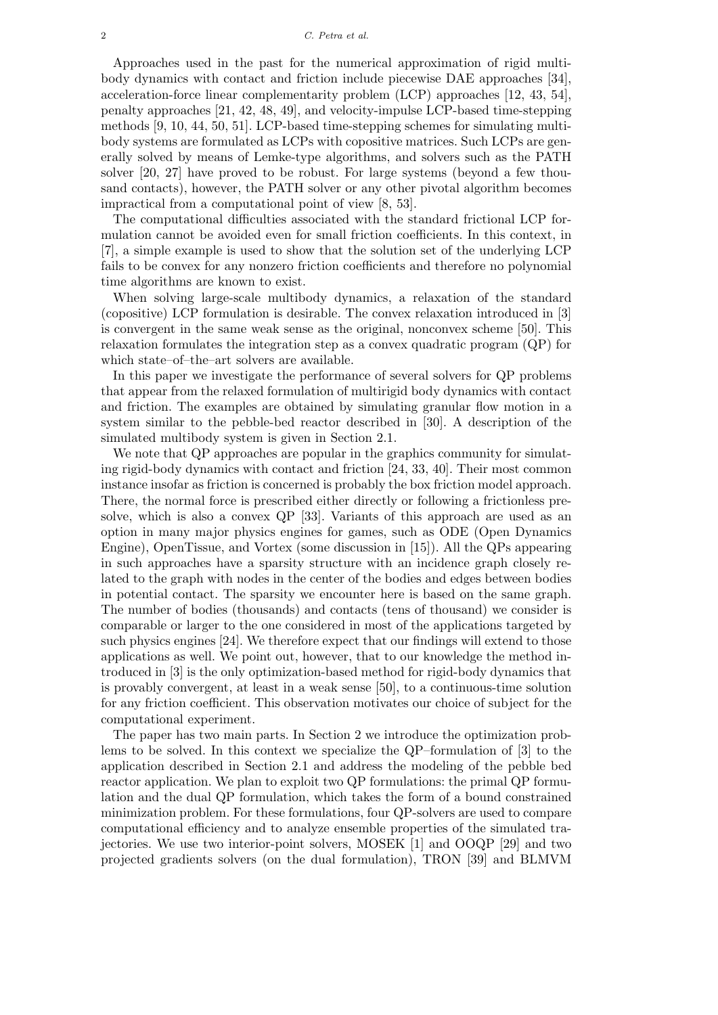Approaches used in the past for the numerical approximation of rigid multibody dynamics with contact and friction include piecewise DAE approaches [34], acceleration-force linear complementarity problem (LCP) approaches [12, 43, 54], penalty approaches [21, 42, 48, 49], and velocity-impulse LCP-based time-stepping methods [9, 10, 44, 50, 51]. LCP-based time-stepping schemes for simulating multibody systems are formulated as LCPs with copositive matrices. Such LCPs are generally solved by means of Lemke-type algorithms, and solvers such as the PATH solver [20, 27] have proved to be robust. For large systems (beyond a few thousand contacts), however, the PATH solver or any other pivotal algorithm becomes impractical from a computational point of view [8, 53].

The computational difficulties associated with the standard frictional LCP formulation cannot be avoided even for small friction coefficients. In this context, in [7], a simple example is used to show that the solution set of the underlying LCP fails to be convex for any nonzero friction coefficients and therefore no polynomial time algorithms are known to exist.

When solving large-scale multibody dynamics, a relaxation of the standard (copositive) LCP formulation is desirable. The convex relaxation introduced in [3] is convergent in the same weak sense as the original, nonconvex scheme [50]. This relaxation formulates the integration step as a convex quadratic program (QP) for which state–of–the–art solvers are available.

In this paper we investigate the performance of several solvers for QP problems that appear from the relaxed formulation of multirigid body dynamics with contact and friction. The examples are obtained by simulating granular flow motion in a system similar to the pebble-bed reactor described in [30]. A description of the simulated multibody system is given in Section 2.1.

We note that QP approaches are popular in the graphics community for simulating rigid-body dynamics with contact and friction [24, 33, 40]. Their most common instance insofar as friction is concerned is probably the box friction model approach. There, the normal force is prescribed either directly or following a frictionless presolve, which is also a convex QP [33]. Variants of this approach are used as an option in many major physics engines for games, such as ODE (Open Dynamics Engine), OpenTissue, and Vortex (some discussion in [15]). All the QPs appearing in such approaches have a sparsity structure with an incidence graph closely related to the graph with nodes in the center of the bodies and edges between bodies in potential contact. The sparsity we encounter here is based on the same graph. The number of bodies (thousands) and contacts (tens of thousand) we consider is comparable or larger to the one considered in most of the applications targeted by such physics engines [24]. We therefore expect that our findings will extend to those applications as well. We point out, however, that to our knowledge the method introduced in [3] is the only optimization-based method for rigid-body dynamics that is provably convergent, at least in a weak sense [50], to a continuous-time solution for any friction coefficient. This observation motivates our choice of subject for the computational experiment.

The paper has two main parts. In Section 2 we introduce the optimization problems to be solved. In this context we specialize the QP–formulation of [3] to the application described in Section 2.1 and address the modeling of the pebble bed reactor application. We plan to exploit two QP formulations: the primal QP formulation and the dual QP formulation, which takes the form of a bound constrained minimization problem. For these formulations, four QP-solvers are used to compare computational efficiency and to analyze ensemble properties of the simulated trajectories. We use two interior-point solvers, MOSEK [1] and OOQP [29] and two projected gradients solvers (on the dual formulation), TRON [39] and BLMVM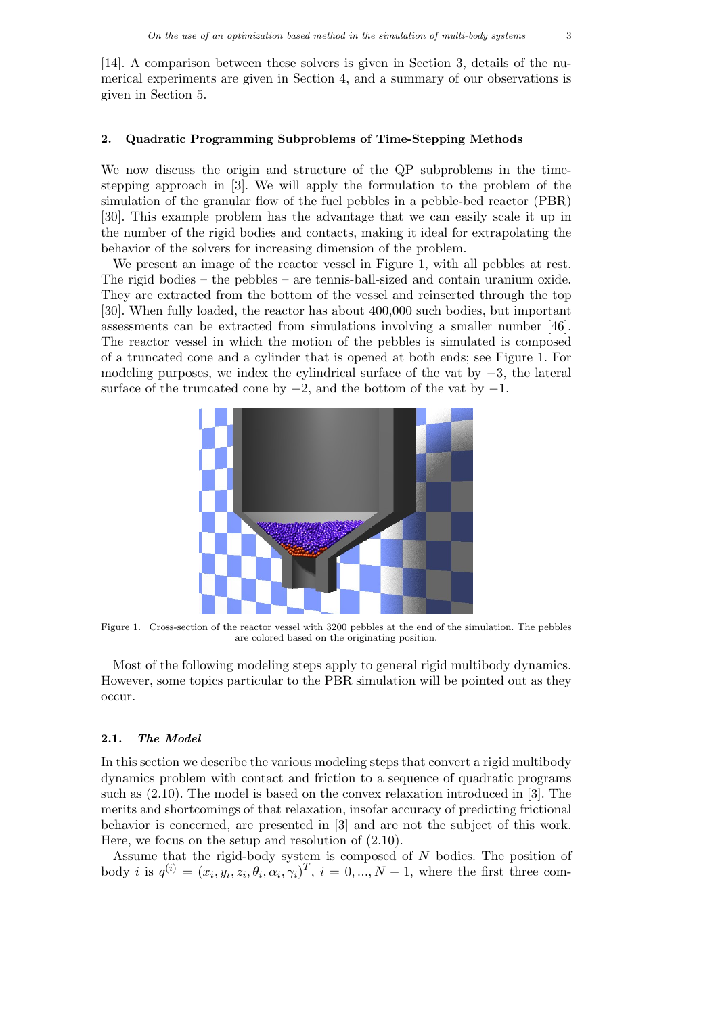[14]. A comparison between these solvers is given in Section 3, details of the numerical experiments are given in Section 4, and a summary of our observations is given in Section 5.

# 2. Quadratic Programming Subproblems of Time-Stepping Methods

We now discuss the origin and structure of the QP subproblems in the timestepping approach in [3]. We will apply the formulation to the problem of the simulation of the granular flow of the fuel pebbles in a pebble-bed reactor (PBR) [30]. This example problem has the advantage that we can easily scale it up in the number of the rigid bodies and contacts, making it ideal for extrapolating the behavior of the solvers for increasing dimension of the problem.

We present an image of the reactor vessel in Figure 1, with all pebbles at rest. The rigid bodies – the pebbles – are tennis-ball-sized and contain uranium oxide. They are extracted from the bottom of the vessel and reinserted through the top [30]. When fully loaded, the reactor has about 400,000 such bodies, but important assessments can be extracted from simulations involving a smaller number [46]. The reactor vessel in which the motion of the pebbles is simulated is composed of a truncated cone and a cylinder that is opened at both ends; see Figure 1. For modeling purposes, we index the cylindrical surface of the vat by  $-3$ , the lateral surface of the truncated cone by  $-2$ , and the bottom of the vat by  $-1$ .



Figure 1. Cross-section of the reactor vessel with 3200 pebbles at the end of the simulation. The pebbles are colored based on the originating position.

Most of the following modeling steps apply to general rigid multibody dynamics. However, some topics particular to the PBR simulation will be pointed out as they occur.

#### 2.1. The Model

In this section we describe the various modeling steps that convert a rigid multibody dynamics problem with contact and friction to a sequence of quadratic programs such as (2.10). The model is based on the convex relaxation introduced in [3]. The merits and shortcomings of that relaxation, insofar accuracy of predicting frictional behavior is concerned, are presented in [3] and are not the subject of this work. Here, we focus on the setup and resolution of (2.10).

Assume that the rigid-body system is composed of N bodies. The position of body *i* is  $q^{(i)} = (x_i, y_i, z_i, \theta_i, \alpha_i, \gamma_i)^T$ ,  $i = 0, ..., N-1$ , where the first three com-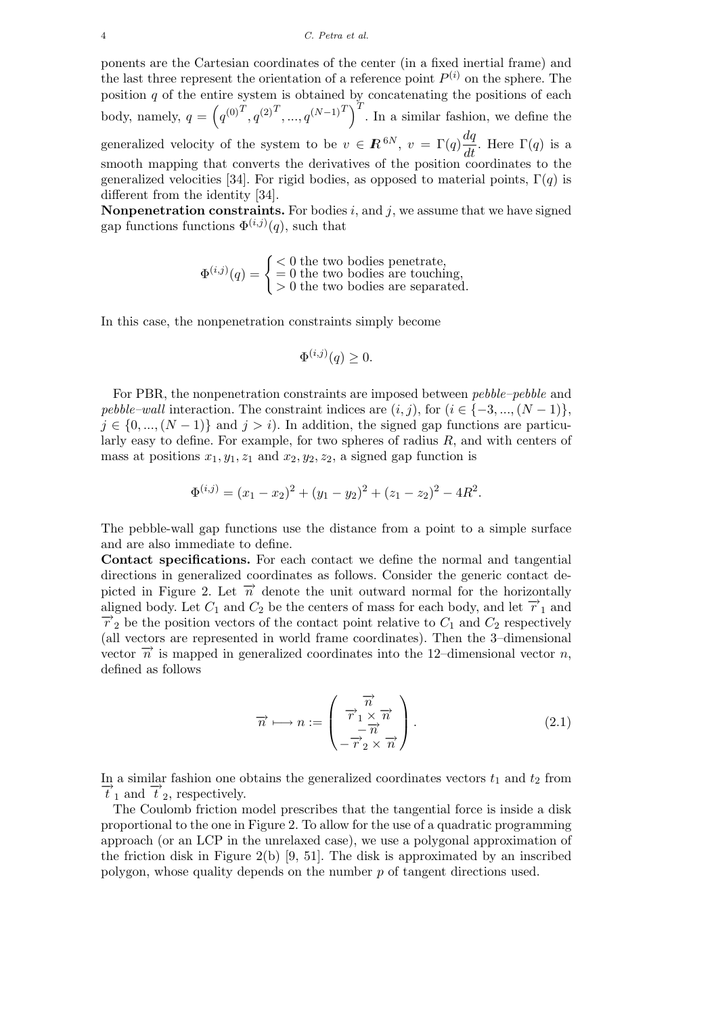ponents are the Cartesian coordinates of the center (in a fixed inertial frame) and the last three represent the orientation of a reference point  $P^{(i)}$  on the sphere. The position  $q$  of the entire system is obtained by concatenating the positions of each body, namely,  $q = (q^{(0)^T}, q^{(2)^T}, ..., q^{(N-1)^T})$ . In a similar fashion, we define the generalized velocity of the system to be  $v \in \mathbb{R}^{6N}$ ,  $v = \Gamma(q) \frac{dq}{dt}$ . Here  $\Gamma(q)$  is a smooth mapping that converts the derivatives of the position coordinates to the generalized velocities [34]. For rigid bodies, as opposed to material points,  $\Gamma(q)$  is different from the identity [34].

**Nonpenetration constraints.** For bodies  $i$ , and  $j$ , we assume that we have signed gap functions functions  $\Phi^{(i,j)}(q)$ , such that

$$
\Phi^{(i,j)}(q) = \begin{cases}\n< 0 \text{ the two bodies penetrate,} \\
= 0 \text{ the two bodies are touching,} \\
> 0 \text{ the two bodies are separated.}\n\end{cases}
$$

In this case, the nonpenetration constraints simply become

$$
\Phi^{(i,j)}(q) \ge 0.
$$

For PBR, the nonpenetration constraints are imposed between pebble–pebble and pebble–wall interaction. The constraint indices are  $(i, j)$ , for  $(i \in \{-3, ..., (N-1)\},$  $j \in \{0, ..., (N-1)\}\$  and  $j > i$ ). In addition, the signed gap functions are particularly easy to define. For example, for two spheres of radius  $R$ , and with centers of mass at positions  $x_1, y_1, z_1$  and  $x_2, y_2, z_2$ , a signed gap function is

$$
\Phi^{(i,j)} = (x_1 - x_2)^2 + (y_1 - y_2)^2 + (z_1 - z_2)^2 - 4R^2.
$$

The pebble-wall gap functions use the distance from a point to a simple surface and are also immediate to define.

Contact specifications. For each contact we define the normal and tangential directions in generalized coordinates as follows. Consider the generic contact depicted in Figure 2. Let  $\vec{n}$  denote the unit outward normal for the horizontally aligned body. Let  $C_1$  and  $C_2$  be the centers of mass for each body, and let  $\overrightarrow{r}_1$  and  $\overrightarrow{r}_2$  be the position vectors of the contact point relative to  $C_1$  and  $C_2$  respectively (all vectors are represented in world frame coordinates). Then the 3–dimensional vector  $\vec{n}$  is mapped in generalized coordinates into the 12–dimensional vector n, defined as follows

$$
\overrightarrow{n} \longmapsto n := \begin{pmatrix} \overrightarrow{n} \\ \overrightarrow{r}_1 \times \overrightarrow{n} \\ -\overrightarrow{r}_2 \times \overrightarrow{n} \end{pmatrix} .
$$
 (2.1)

In a similar fashion one obtains the generalized coordinates vectors  $t_1$  and  $t_2$  from  $\overrightarrow{t}_1$  and  $\overrightarrow{t}_2$ , respectively.

The Coulomb friction model prescribes that the tangential force is inside a disk proportional to the one in Figure 2. To allow for the use of a quadratic programming approach (or an LCP in the unrelaxed case), we use a polygonal approximation of the friction disk in Figure 2(b)  $[9, 51]$ . The disk is approximated by an inscribed polygon, whose quality depends on the number p of tangent directions used.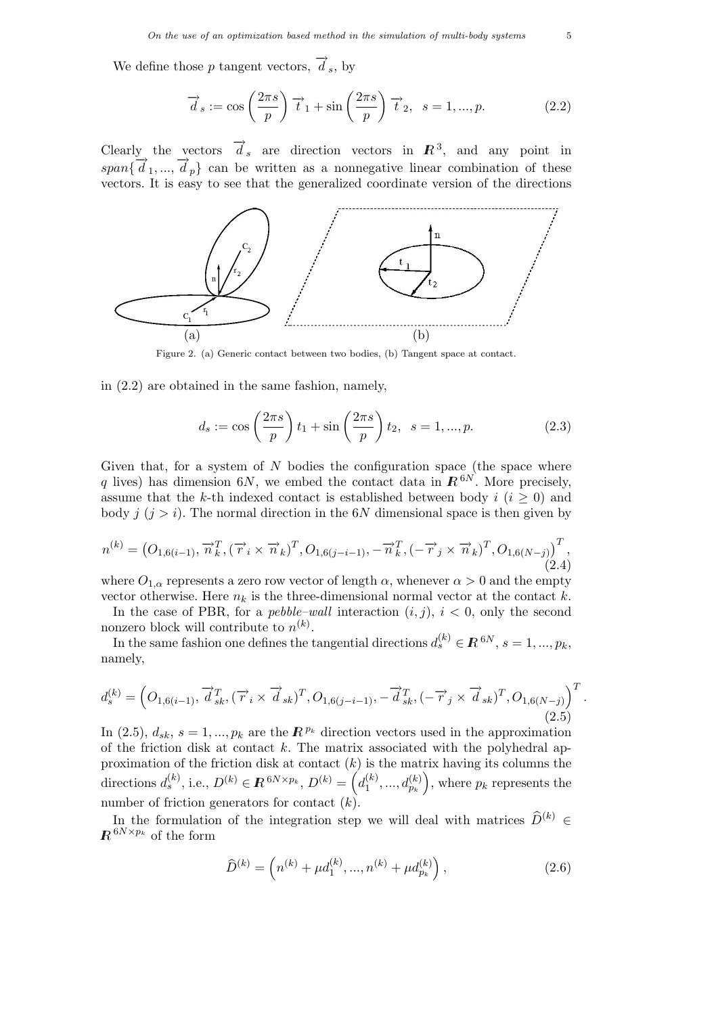We define those p tangent vectors,  $\overrightarrow{d}_s$ , by

$$
\vec{d}_s := \cos\left(\frac{2\pi s}{p}\right)\vec{t}_1 + \sin\left(\frac{2\pi s}{p}\right)\vec{t}_2, \ \ s = 1, ..., p. \tag{2.2}
$$

Clearly the vectors  $\overrightarrow{d}_s$  are direction vectors in  $\mathbb{R}^3$ , and any point in span $\{\vec{d}_1, ..., \vec{d}_p\}$  can be written as a nonnegative linear combination of these vectors. It is easy to see that the generalized coordinate version of the directions



Figure 2. (a) Generic contact between two bodies, (b) Tangent space at contact.

in (2.2) are obtained in the same fashion, namely,

$$
d_s := \cos\left(\frac{2\pi s}{p}\right)t_1 + \sin\left(\frac{2\pi s}{p}\right)t_2, \ \ s = 1, ..., p. \tag{2.3}
$$

Given that, for a system of  $N$  bodies the configuration space (the space where q lives) has dimension 6N, we embed the contact data in  $R^{6N}$ . More precisely, assume that the k-th indexed contact is established between body  $i$  ( $i \geq 0$ ) and body  $j$   $(j > i)$ . The normal direction in the 6N dimensional space is then given by

$$
n^{(k)} = (O_{1,6(i-1)}, \overrightarrow{n}_k^T, (\overrightarrow{r}_i \times \overrightarrow{n}_k)^T, O_{1,6(j-i-1)}, -\overrightarrow{n}_k^T, (-\overrightarrow{r}_j \times \overrightarrow{n}_k)^T, O_{1,6(N-j)})^T, (2.4)
$$

where  $O_{1,\alpha}$  represents a zero row vector of length  $\alpha$ , whenever  $\alpha > 0$  and the empty vector otherwise. Here  $n_k$  is the three-dimensional normal vector at the contact k.

In the case of PBR, for a *pebble–wall* interaction  $(i, j)$ ,  $i < 0$ , only the second nonzero block will contribute to  $n^{(k)}$ .

In the same fashion one defines the tangential directions  $d_s^{(k)} \in \mathbb{R}^{6N}$ ,  $s = 1, ..., p_k$ , namely,

$$
d_s^{(k)} = \left( O_{1,6(i-1)}, \overrightarrow{d}_{sk}^T, (\overrightarrow{r}_i \times \overrightarrow{d}_{sk})^T, O_{1,6(j-i-1)}, -\overrightarrow{d}_{sk}^T, (-\overrightarrow{r}_j \times \overrightarrow{d}_{sk})^T, O_{1,6(N-j)} \right)^T.
$$
\n(2.5)

In (2.5),  $d_{sk}$ ,  $s = 1, ..., p_k$  are the  $\mathbb{R}^{p_k}$  direction vectors used in the approximation of the friction disk at contact  $k$ . The matrix associated with the polyhedral approximation of the friction disk at contact  $(k)$  is the matrix having its columns the directions  $d_s^{(k)}$ , i.e.,  $D^{(k)} \in \mathbb{R}^{6N \times p_k}$ ,  $D^{(k)} = \left(d_1^{(k)}\right)^k$  $a_1^{(k)},...,a_{p_k}^{(k)}\Big)$ , where  $p_k$  represents the number of friction generators for contact  $(k)$ .

In the formulation of the integration step we will deal with matrices  $\widehat{D}^{(k)} \in$  $R^{6N\times p_{k}}$  of the form

$$
\widehat{D}^{(k)} = \left( n^{(k)} + \mu d_1^{(k)}, \dots, n^{(k)} + \mu d_{p_k}^{(k)} \right), \tag{2.6}
$$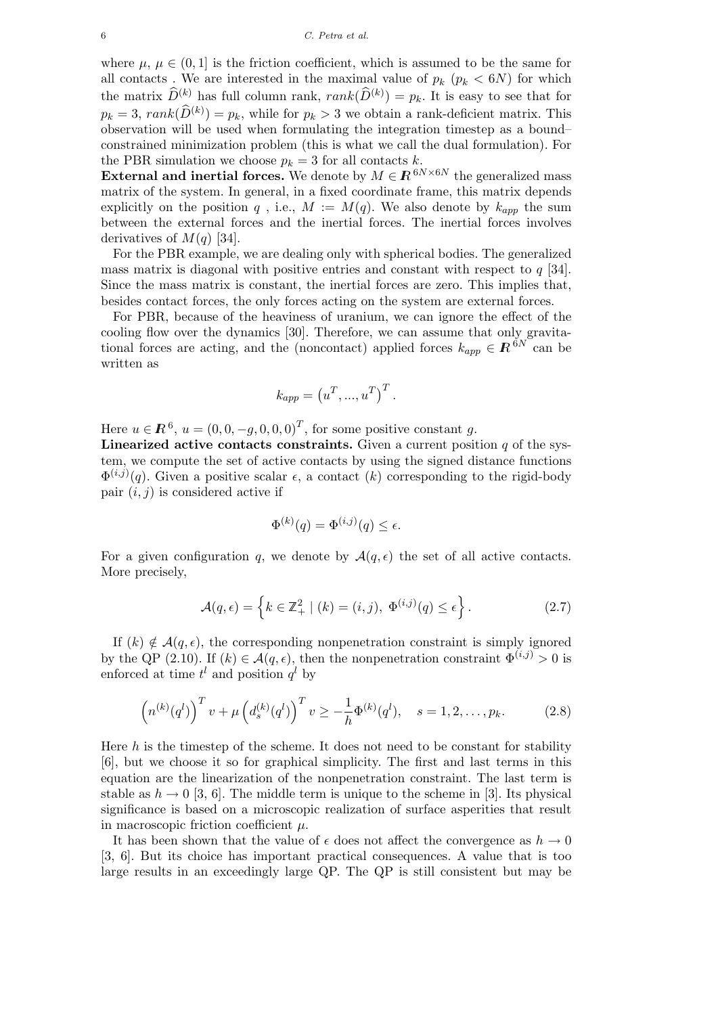where  $\mu, \mu \in (0, 1]$  is the friction coefficient, which is assumed to be the same for all contacts. We are interested in the maximal value of  $p_k$  ( $p_k < 6N$ ) for which the matrix  $\widehat{D}^{(k)}$  has full column rank,  $rank(\widehat{D}^{(k)}) = p_k$ . It is easy to see that for  $p_k = 3$ ,  $rank(\widehat{D}^{(k)}) = p_k$ , while for  $p_k > 3$  we obtain a rank-deficient matrix. This observation will be used when formulating the integration timestep as a bound– constrained minimization problem (this is what we call the dual formulation). For the PBR simulation we choose  $p_k = 3$  for all contacts k.

**External and inertial forces.** We denote by  $M \in \mathbb{R}^{6N \times 6N}$  the generalized mass matrix of the system. In general, in a fixed coordinate frame, this matrix depends explicitly on the position  $q$ , i.e.,  $M := M(q)$ . We also denote by  $k_{app}$  the sum between the external forces and the inertial forces. The inertial forces involves derivatives of  $M(q)$  [34].

For the PBR example, we are dealing only with spherical bodies. The generalized mass matrix is diagonal with positive entries and constant with respect to  $q$  [34]. Since the mass matrix is constant, the inertial forces are zero. This implies that, besides contact forces, the only forces acting on the system are external forces.

For PBR, because of the heaviness of uranium, we can ignore the effect of the cooling flow over the dynamics [30]. Therefore, we can assume that only gravitational forces are acting, and the (noncontact) applied forces  $k_{app} \in \mathbb{R}^{6N}$  can be written as

$$
k_{app} = (u^T, ..., u^T)^T.
$$

Here  $u \in \mathbb{R}^6$ ,  $u = (0, 0, -g, 0, 0, 0)^T$ , for some positive constant g.

Linearized active contacts constraints. Given a current position  $q$  of the system, we compute the set of active contacts by using the signed distance functions  $\Phi^{(i,j)}(q)$ . Given a positive scalar  $\epsilon$ , a contact  $(k)$  corresponding to the rigid-body pair  $(i, j)$  is considered active if

$$
\Phi^{(k)}(q) = \Phi^{(i,j)}(q) \le \epsilon.
$$

For a given configuration q, we denote by  $\mathcal{A}(q,\epsilon)$  the set of all active contacts. More precisely,

$$
\mathcal{A}(q,\epsilon) = \left\{ k \in \mathbb{Z}_+^2 \mid (k) = (i,j), \ \Phi^{(i,j)}(q) \le \epsilon \right\}.
$$
 (2.7)

If  $(k) \notin \mathcal{A}(q, \epsilon)$ , the corresponding nonpenetration constraint is simply ignored by the QP (2.10). If  $(k) \in \mathcal{A}(q, \epsilon)$ , then the nonpenetration constraint  $\Phi^{(i,j)} > 0$  is enforced at time  $t^l$  and position  $q^l$  by

$$
\left(n^{(k)}(q^l)\right)^T v + \mu \left(d_s^{(k)}(q^l)\right)^T v \ge -\frac{1}{h} \Phi^{(k)}(q^l), \quad s = 1, 2, \dots, p_k. \tag{2.8}
$$

Here  $h$  is the timestep of the scheme. It does not need to be constant for stability [6], but we choose it so for graphical simplicity. The first and last terms in this equation are the linearization of the nonpenetration constraint. The last term is stable as  $h \to 0$  [3, 6]. The middle term is unique to the scheme in [3]. Its physical significance is based on a microscopic realization of surface asperities that result in macroscopic friction coefficient  $\mu$ .

It has been shown that the value of  $\epsilon$  does not affect the convergence as  $h \to 0$ [3, 6]. But its choice has important practical consequences. A value that is too large results in an exceedingly large QP. The QP is still consistent but may be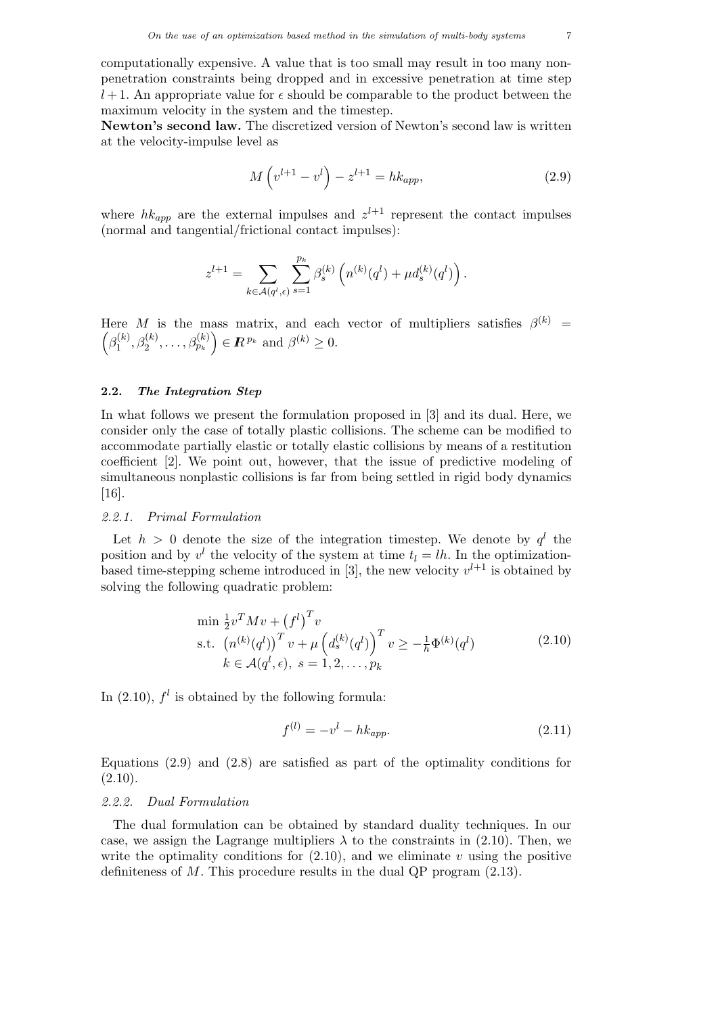computationally expensive. A value that is too small may result in too many nonpenetration constraints being dropped and in excessive penetration at time step  $l+1$ . An appropriate value for  $\epsilon$  should be comparable to the product between the maximum velocity in the system and the timestep.

Newton's second law. The discretized version of Newton's second law is written at the velocity-impulse level as

$$
M(v^{l+1} - v^l) - z^{l+1} = hk_{app},
$$
\n(2.9)

where  $hk_{app}$  are the external impulses and  $z^{l+1}$  represent the contact impulses (normal and tangential/frictional contact impulses):

$$
z^{l+1} = \sum_{k \in \mathcal{A}(q^l,\epsilon)} \sum_{s=1}^{p_k} \beta_s^{(k)} \left( n^{(k)}(q^l) + \mu d_s^{(k)}(q^l) \right).
$$

Here M is the mass matrix, and each vector of multipliers satisfies  $\beta^{(k)}$  =  $\left(\beta_1^{(k)}\right)$  $\beta_1^{(k)}, \beta_2^{(k)}, \ldots, \beta_{p_k}^{(k)} \Big) \in \mathbb{R}^{p_k}$  and  $\beta^{(k)} \geq 0$ .

# 2.2. The Integration Step

In what follows we present the formulation proposed in [3] and its dual. Here, we consider only the case of totally plastic collisions. The scheme can be modified to accommodate partially elastic or totally elastic collisions by means of a restitution coefficient [2]. We point out, however, that the issue of predictive modeling of simultaneous nonplastic collisions is far from being settled in rigid body dynamics [16].

#### 2.2.1. Primal Formulation

Let  $h > 0$  denote the size of the integration timestep. We denote by  $q<sup>l</sup>$  the position and by  $v^l$  the velocity of the system at time  $t_l = lh$ . In the optimizationbased time-stepping scheme introduced in [3], the new velocity  $v^{l+1}$  is obtained by solving the following quadratic problem:

$$
\min \frac{1}{2} v^T M v + (f^l)^T v \n\text{s.t.} \left( n^{(k)} (q^l) \right)^T v + \mu \left( d_s^{(k)} (q^l) \right)^T v \ge -\frac{1}{h} \Phi^{(k)} (q^l) \nk \in \mathcal{A}(q^l, \epsilon), \ s = 1, 2, \dots, p_k
$$
\n(2.10)

In  $(2.10)$ ,  $f<sup>l</sup>$  is obtained by the following formula:

$$
f^{(l)} = -v^l - hk_{app}.
$$
\n(2.11)

Equations (2.9) and (2.8) are satisfied as part of the optimality conditions for  $(2.10).$ 

# 2.2.2. Dual Formulation

The dual formulation can be obtained by standard duality techniques. In our case, we assign the Lagrange multipliers  $\lambda$  to the constraints in (2.10). Then, we write the optimality conditions for  $(2.10)$ , and we eliminate v using the positive definiteness of  $M$ . This procedure results in the dual QP program  $(2.13)$ .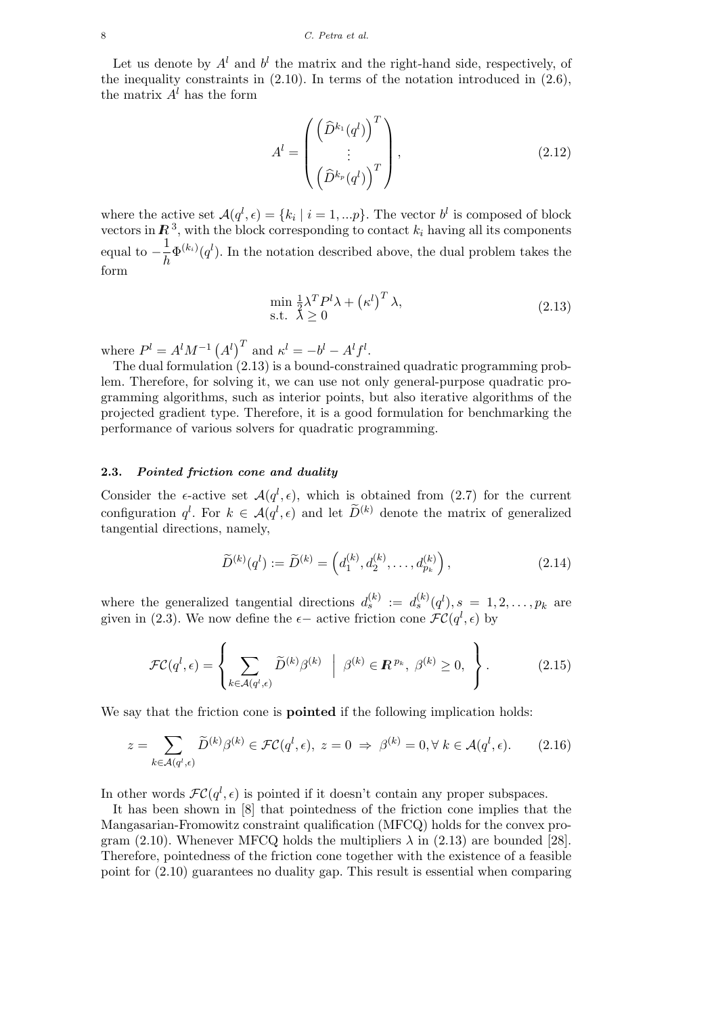Let us denote by  $A^l$  and  $b^l$  the matrix and the right-hand side, respectively, of the inequality constraints in  $(2.10)$ . In terms of the notation introduced in  $(2.6)$ , the matrix  $A<sup>l</sup>$  has the form

$$
A^{l} = \begin{pmatrix} \left(\widehat{D}^{k_1}(q^l)\right)^T \\ \vdots \\ \left(\widehat{D}^{k_p}(q^l)\right)^T \end{pmatrix},
$$
\n(2.12)

where the active set  $\mathcal{A}(q^l, \epsilon) = \{k_i \mid i = 1, ...p\}$ . The vector  $b^l$  is composed of block vectors in  $\mathbb{R}^3$ , with the block corresponding to contact  $k_i$  having all its components equal to  $-\frac{1}{1}$  $\frac{1}{h} \Phi^{(k_i)}(q^l)$ . In the notation described above, the dual problem takes the form

$$
\min_{\lambda} \frac{1}{2} \lambda^T P^l \lambda + \left(\kappa^l\right)^T \lambda, \text{s.t. } \lambda \ge 0
$$
\n(2.13)

where  $P^l = A^l M^{-1} (A^l)^T$  and  $\kappa^l = -b^l - A^l f^l$ .

The dual formulation (2.13) is a bound-constrained quadratic programming problem. Therefore, for solving it, we can use not only general-purpose quadratic programming algorithms, such as interior points, but also iterative algorithms of the projected gradient type. Therefore, it is a good formulation for benchmarking the performance of various solvers for quadratic programming.

## 2.3. Pointed friction cone and duality

Consider the  $\epsilon$ -active set  $\mathcal{A}(q^l, \epsilon)$ , which is obtained from (2.7) for the current configuration  $q^l$ . For  $k \in \mathcal{A}(q^l, \epsilon)$  and let  $\widetilde{D}^{(k)}$  denote the matrix of generalized tangential directions, namely,

$$
\widetilde{D}^{(k)}(q^{l}) := \widetilde{D}^{(k)} = \left(d_1^{(k)}, d_2^{(k)}, \dots, d_{p_k}^{(k)}\right),\tag{2.14}
$$

where the generalized tangential directions  $d_s^{(k)} := d_s^{(k)}(q^l), s = 1, 2, \ldots, p_k$  are given in (2.3). We now define the  $\epsilon-$  active friction cone  $\mathcal{FC}(q^l, \epsilon)$  by

$$
\mathcal{FC}(q^l, \epsilon) = \left\{ \sum_{k \in \mathcal{A}(q^l, \epsilon)} \widetilde{D}^{(k)} \beta^{(k)} \middle| \beta^{(k)} \in \mathbb{R}^{p_k}, \beta^{(k)} \ge 0, \right\}.
$$
 (2.15)

We say that the friction cone is **pointed** if the following implication holds:

$$
z = \sum_{k \in \mathcal{A}(q^l, \epsilon)} \widetilde{D}^{(k)} \beta^{(k)} \in \mathcal{FC}(q^l, \epsilon), \ z = 0 \ \Rightarrow \ \beta^{(k)} = 0, \forall \ k \in \mathcal{A}(q^l, \epsilon). \tag{2.16}
$$

In other words  $\mathcal{FC}(q^l, \epsilon)$  is pointed if it doesn't contain any proper subspaces.

It has been shown in [8] that pointedness of the friction cone implies that the Mangasarian-Fromowitz constraint qualification (MFCQ) holds for the convex program (2.10). Whenever MFCQ holds the multipliers  $\lambda$  in (2.13) are bounded [28]. Therefore, pointedness of the friction cone together with the existence of a feasible point for (2.10) guarantees no duality gap. This result is essential when comparing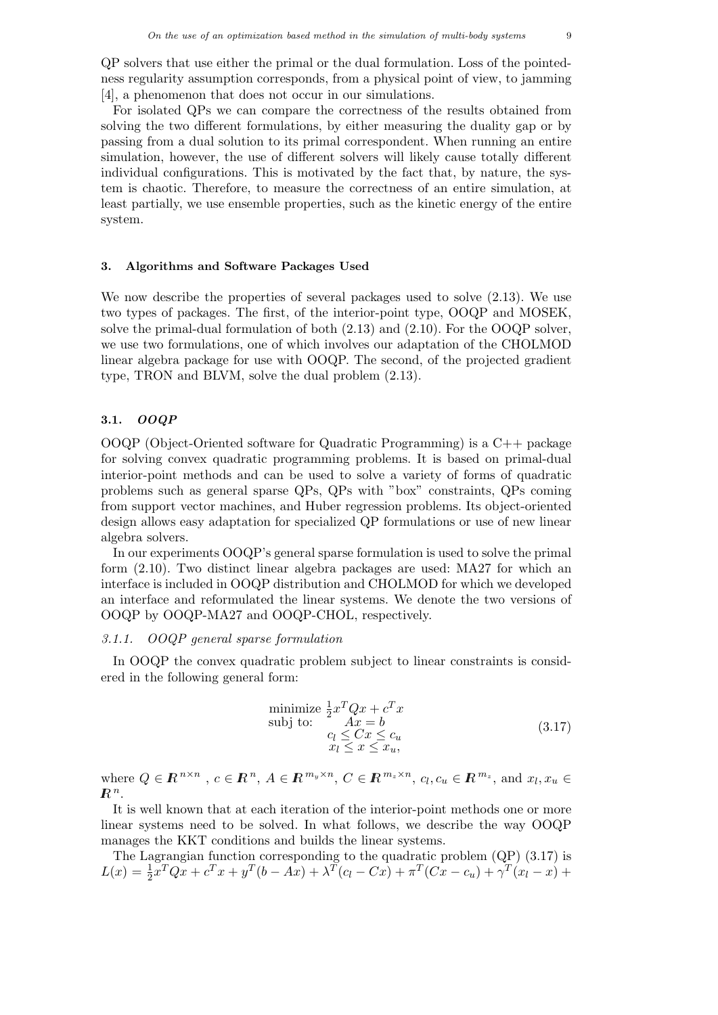QP solvers that use either the primal or the dual formulation. Loss of the pointedness regularity assumption corresponds, from a physical point of view, to jamming [4], a phenomenon that does not occur in our simulations.

For isolated QPs we can compare the correctness of the results obtained from solving the two different formulations, by either measuring the duality gap or by passing from a dual solution to its primal correspondent. When running an entire simulation, however, the use of different solvers will likely cause totally different individual configurations. This is motivated by the fact that, by nature, the system is chaotic. Therefore, to measure the correctness of an entire simulation, at least partially, we use ensemble properties, such as the kinetic energy of the entire system.

### 3. Algorithms and Software Packages Used

We now describe the properties of several packages used to solve (2.13). We use two types of packages. The first, of the interior-point type, OOQP and MOSEK, solve the primal-dual formulation of both (2.13) and (2.10). For the OOQP solver, we use two formulations, one of which involves our adaptation of the CHOLMOD linear algebra package for use with OOQP. The second, of the projected gradient type, TRON and BLVM, solve the dual problem (2.13).

# 3.1. OOQP

OOQP (Object-Oriented software for Quadratic Programming) is a C++ package for solving convex quadratic programming problems. It is based on primal-dual interior-point methods and can be used to solve a variety of forms of quadratic problems such as general sparse QPs, QPs with "box" constraints, QPs coming from support vector machines, and Huber regression problems. Its object-oriented design allows easy adaptation for specialized QP formulations or use of new linear algebra solvers.

In our experiments OOQP's general sparse formulation is used to solve the primal form (2.10). Two distinct linear algebra packages are used: MA27 for which an interface is included in OOQP distribution and CHOLMOD for which we developed an interface and reformulated the linear systems. We denote the two versions of OOQP by OOQP-MA27 and OOQP-CHOL, respectively.

# 3.1.1. OOQP general sparse formulation

In OOQP the convex quadratic problem subject to linear constraints is considered in the following general form:

$$
\begin{array}{ll}\text{minimize } \frac{1}{2}x^T Q x + c^T x\\ \text{subj to:} & Ax = b\\ & c_l \leq Cx \leq c_u\\ & x_l \leq x \leq x_u, \end{array} \tag{3.17}
$$

where  $Q \in \mathbb{R}^{n \times n}$ ,  $c \in \mathbb{R}^n$ ,  $A \in \mathbb{R}^{m_y \times n}$ ,  $C \in \mathbb{R}^{m_z \times n}$ ,  $c_l, c_u \in \mathbb{R}^{m_z}$ , and  $x_l, x_u \in$  $\mathbb{R}^n$ .

It is well known that at each iteration of the interior-point methods one or more linear systems need to be solved. In what follows, we describe the way OOQP manages the KKT conditions and builds the linear systems.

The Lagrangian function corresponding to the quadratic problem (QP) (3.17) is  $L(x) = \frac{1}{2}x^{T}Qx + c^{T}x + y^{T}(b - Ax) + \lambda^{T}(c_{l} - Cx) + \pi^{T}(Cx - c_{u}) + \gamma^{T}(x_{l} - x) +$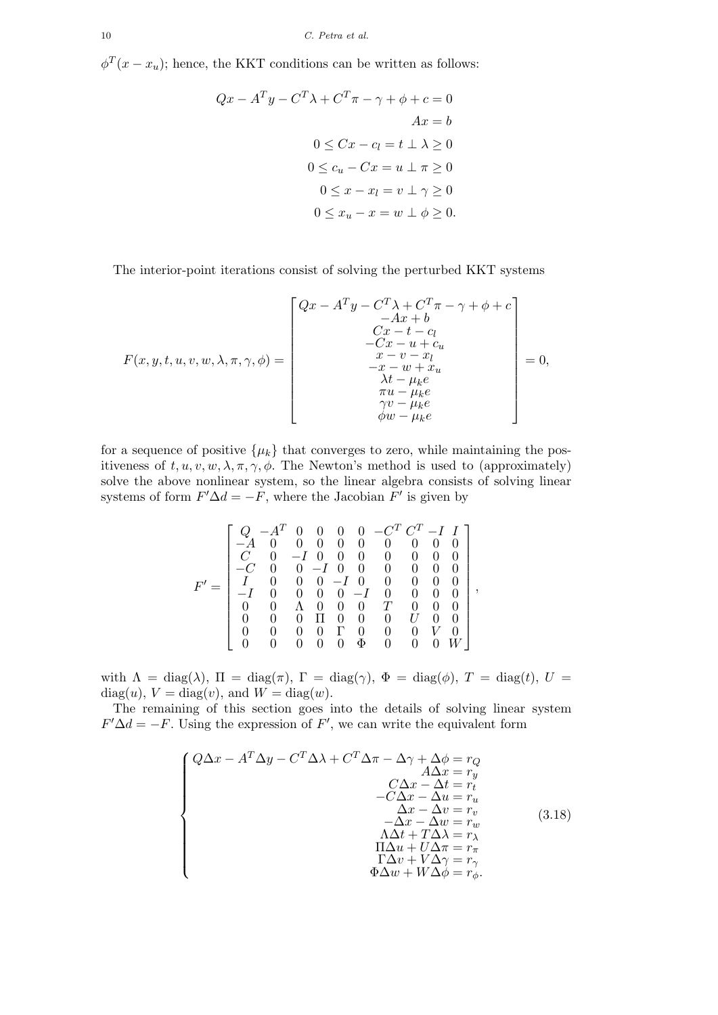$\phi^T(x-x_u)$ ; hence, the KKT conditions can be written as follows:

$$
Qx - A^{T}y - C^{T}\lambda + C^{T}\pi - \gamma + \phi + c = 0
$$
  
\n
$$
Ax = b
$$
  
\n
$$
0 \le Cx - c_{l} = t \perp \lambda \ge 0
$$
  
\n
$$
0 \le c_{u} - Cx = u \perp \pi \ge 0
$$
  
\n
$$
0 \le x - x_{l} = v \perp \gamma \ge 0
$$
  
\n
$$
0 \le x_{u} - x = w \perp \phi \ge 0.
$$

The interior-point iterations consist of solving the perturbed KKT systems

$$
F(x, y, t, u, v, w, \lambda, \pi, \gamma, \phi) = \begin{bmatrix} Qx - A^T y - C^T \lambda + C^T \pi - \gamma + \phi + c \\ -Ax + b \\ Cx - t - c_l \\ -Cx - u + c_u \\ x - v - x_l \\ -x - w + x_u \\ \lambda t - \mu_k e \\ \pi u - \mu_k e \\ \gamma v - \mu_k e \\ \phi w - \mu_k e \end{bmatrix} = 0,
$$

for a sequence of positive  $\{\mu_k\}$  that converges to zero, while maintaining the positiveness of  $t, u, v, w, \lambda, \pi, \gamma, \phi$ . The Newton's method is used to (approximately) solve the above nonlinear system, so the linear algebra consists of solving linear systems of form  $F' \Delta d = -F$ , where the Jacobian  $F'$  is given by

$$
F'=\left[\begin{array}{cccccccc}Q&-A^T&0&0&0&0&-C^T\,C^T-I&I\\-A&0&0&0&0&0&0&0&0\\C&0&-I&0&0&0&0&0&0\\-C&0&0&-I&0&0&0&0&0\\I&0&0&0&-I&0&0&0&0\\-I&0&0&0&0&-I&0&0&0\\0&0&\Lambda&0&0&0&T&0&0\\0&0&0&\Gamma&0&0&0&V&0\\0&0&0&0&\Phi&0&0&0&W\end{array}\right],
$$

with  $\Lambda = \text{diag}(\lambda)$ ,  $\Pi = \text{diag}(\pi)$ ,  $\Gamma = \text{diag}(\gamma)$ ,  $\Phi = \text{diag}(\phi)$ ,  $T = \text{diag}(t)$ ,  $U =$  $diag(u)$ ,  $V = diag(v)$ , and  $W = diag(w)$ .

The remaining of this section goes into the details of solving linear system  $F'\Delta d = -F$ . Using the expression of F', we can write the equivalent form

$$
\begin{cases}\nQ\Delta x - A^T \Delta y - C^T \Delta \lambda + C^T \Delta \pi - \Delta \gamma + \Delta \phi = r_Q \\
\Delta x = r_y \\
-C\Delta x - \Delta t = r_t \\
-C\Delta x - \Delta u = r_u \\
\Delta x - \Delta v = r_v \\
-\Delta x - \Delta w = r_w \\
-\Delta x + \Delta \lambda = r_\lambda \\
\Delta t + T\Delta \lambda = r_\lambda \\
\Pi \Delta u + U \Delta \pi = r_\pi \\
\Gamma \Delta v + V \Delta \gamma = r_\gamma \\
\Phi \Delta w + W \Delta \phi = r_\phi.\n\end{cases} (3.18)
$$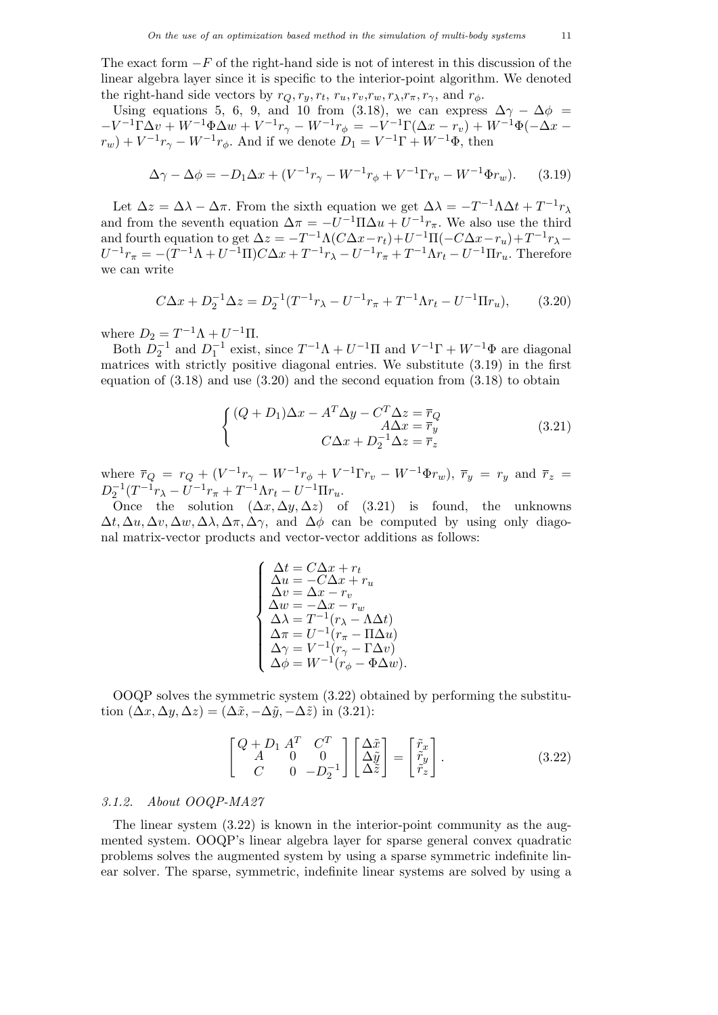The exact form  $-F$  of the right-hand side is not of interest in this discussion of the linear algebra layer since it is specific to the interior-point algorithm. We denoted the right-hand side vectors by  $r_Q, r_y, r_t, r_u, r_v, r_w, r_\lambda, r_\pi, r_\gamma$ , and  $r_\phi$ .

Using equations 5, 6, 9, and 10 from (3.18), we can express  $\Delta \gamma - \Delta \phi$  =  $-V^{-1}\Gamma\Delta v + W^{-1}\Phi\Delta w + V^{-1}r_{\gamma} - W^{-1}r_{\phi} = -V^{-1}\Gamma(\Delta x - r_v) + W^{-1}\Phi(-\Delta x$  $r_w$ ) +  $V^{-1}r_{\gamma}$  –  $W^{-1}r_{\phi}$ . And if we denote  $D_1 = V^{-1}\Gamma + W^{-1}\Phi$ , then

$$
\Delta \gamma - \Delta \phi = -D_1 \Delta x + (V^{-1} r_\gamma - W^{-1} r_\phi + V^{-1} \Gamma r_v - W^{-1} \Phi r_w). \tag{3.19}
$$

Let  $\Delta z = \Delta \lambda - \Delta \pi$ . From the sixth equation we get  $\Delta \lambda = -T^{-1} \Lambda \Delta t + T^{-1} r_{\lambda}$ and from the seventh equation  $\Delta \pi = -U^{-1} \Pi \Delta u + U^{-1} r_{\pi}$ . We also use the third and fourth equation to get  $\Delta z = -T^{-1}\Lambda(C\Delta x - r_t) + U^{-1}\Pi(-C\Delta x - r_u) + T^{-1}r_{\lambda} U^{-1}r_{\pi} = -(T^{-1}\Lambda + U^{-1}\Pi)C\Delta x + T^{-1}r_{\lambda} - U^{-1}r_{\pi} + T^{-1}\Lambda r_{t} - U^{-1}\Pi r_{u}$ . Therefore we can write

$$
C\Delta x + D_2^{-1} \Delta z = D_2^{-1} (T^{-1} r_\lambda - U^{-1} r_\pi + T^{-1} \Lambda r_t - U^{-1} \Pi r_u), \tag{3.20}
$$

where  $D_2 = T^{-1}\Lambda + U^{-1}\Pi$ .

Both  $D_2^{-1}$  and  $D_1^{-1}$  exist, since  $T^{-1}\Lambda + U^{-1}\Pi$  and  $V^{-1}\Gamma + W^{-1}\Phi$  are diagonal matrices with strictly positive diagonal entries. We substitute (3.19) in the first equation of  $(3.18)$  and use  $(3.20)$  and the second equation from  $(3.18)$  to obtain

$$
\begin{cases}\n(Q+D_1)\Delta x - A^T \Delta y - C^T \Delta z = \overline{r}_Q \\
A\Delta x = \overline{r}_y \\
C\Delta x + D_2^{-1} \Delta z = \overline{r}_z\n\end{cases}
$$
\n(3.21)

where  $\bar{r}_Q = r_Q + (V^{-1}r_{\gamma} - W^{-1}r_{\phi} + V^{-1}\Gamma r_v - W^{-1}\Phi r_w)$ ,  $\bar{r}_y = r_y$  and  $\bar{r}_z =$  $D_2^{-1}(T^{-1}r_{\lambda} - U^{-1}r_{\pi} + T^{-1}\Lambda r_t - U^{-1}\Pi r_u.$ 

Once the solution  $(\Delta x, \Delta y, \Delta z)$  of (3.21) is found, the unknowns  $\Delta t$ ,  $\Delta u$ ,  $\Delta v$ ,  $\Delta w$ ,  $\Delta \lambda$ ,  $\Delta \pi$ ,  $\Delta \gamma$ , and  $\Delta \phi$  can be computed by using only diagonal matrix-vector products and vector-vector additions as follows:

$$
\begin{cases}\n\Delta t = C\Delta x + r_t \\
\Delta u = -C\Delta x + r_u \\
\Delta v = \Delta x - r_v \\
\Delta w = -\Delta x - r_w \\
\Delta \lambda = T^{-1}(r_{\lambda} - \Lambda \Delta t) \\
\Delta \pi = U^{-1}(r_{\pi} - \Pi \Delta u) \\
\Delta \gamma = V^{-1}(r_{\gamma} - \Gamma \Delta v) \\
\Delta \phi = W^{-1}(r_{\phi} - \Phi \Delta w).\n\end{cases}
$$

OOQP solves the symmetric system (3.22) obtained by performing the substitution  $(\Delta x, \Delta y, \Delta z) = (\Delta \tilde{x}, -\Delta \tilde{y}, -\Delta \tilde{z})$  in (3.21):

$$
\begin{bmatrix}\nQ + D_1 A^T & C^T \\
A & 0 & 0 \\
C & 0 & -D_2^{-1}\n\end{bmatrix}\n\begin{bmatrix}\n\Delta \tilde{x} \\
\Delta \tilde{y} \\
\Delta \tilde{z}\n\end{bmatrix} =\n\begin{bmatrix}\n\tilde{r}_x \\
\tilde{r}_y \\
\tilde{r}_z\n\end{bmatrix}.
$$
\n(3.22)

# 3.1.2. About OOQP-MA27

The linear system  $(3.22)$  is known in the interior-point community as the augmented system. OOQP's linear algebra layer for sparse general convex quadratic problems solves the augmented system by using a sparse symmetric indefinite linear solver. The sparse, symmetric, indefinite linear systems are solved by using a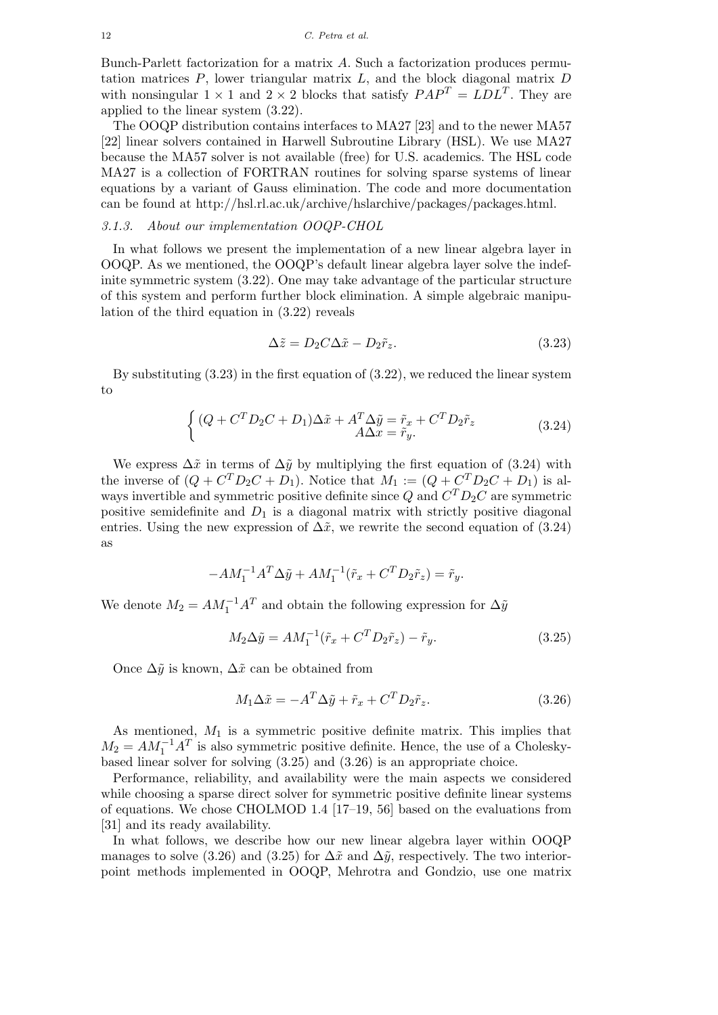Bunch-Parlett factorization for a matrix A. Such a factorization produces permutation matrices  $P$ , lower triangular matrix  $L$ , and the block diagonal matrix  $D$ with nonsingular  $1 \times 1$  and  $2 \times 2$  blocks that satisfy  $PAP^T = LDL^T$ . They are applied to the linear system (3.22).

The OOQP distribution contains interfaces to MA27 [23] and to the newer MA57 [22] linear solvers contained in Harwell Subroutine Library (HSL). We use MA27 because the MA57 solver is not available (free) for U.S. academics. The HSL code MA27 is a collection of FORTRAN routines for solving sparse systems of linear equations by a variant of Gauss elimination. The code and more documentation can be found at http://hsl.rl.ac.uk/archive/hslarchive/packages/packages.html.

## 3.1.3. About our implementation OOQP-CHOL

In what follows we present the implementation of a new linear algebra layer in OOQP. As we mentioned, the OOQP's default linear algebra layer solve the indefinite symmetric system (3.22). One may take advantage of the particular structure of this system and perform further block elimination. A simple algebraic manipulation of the third equation in (3.22) reveals

$$
\Delta \tilde{z} = D_2 C \Delta \tilde{x} - D_2 \tilde{r}_z. \tag{3.23}
$$

By substituting (3.23) in the first equation of (3.22), we reduced the linear system to

$$
\begin{cases} (Q + C^T D_2 C + D_1) \Delta \tilde{x} + A^T \Delta \tilde{y} = \tilde{r}_x + C^T D_2 \tilde{r}_z \\ A \Delta x = \tilde{r}_y. \end{cases} \tag{3.24}
$$

We express  $\Delta \tilde{x}$  in terms of  $\Delta \tilde{y}$  by multiplying the first equation of (3.24) with the inverse of  $(Q + C^T D_2 C + D_1)$ . Notice that  $M_1 := (Q + C^T D_2 C + D_1)$  is always invertible and symmetric positive definite since  $Q$  and  $C^{T}D_{2}C$  are symmetric positive semidefinite and  $D_1$  is a diagonal matrix with strictly positive diagonal entries. Using the new expression of  $\Delta \tilde{x}$ , we rewrite the second equation of (3.24) as

$$
-AM_1^{-1}A^T\Delta \tilde{y} + AM_1^{-1}(\tilde{r}_x + C^T D_2 \tilde{r}_z) = \tilde{r}_y.
$$

We denote  $M_2 = AM_1^{-1}A^T$  and obtain the following expression for  $\Delta \tilde{y}$ 

$$
M_2 \Delta \tilde{y} = AM_1^{-1}(\tilde{r}_x + C^T D_2 \tilde{r}_z) - \tilde{r}_y.
$$
\n(3.25)

Once  $\Delta \tilde{y}$  is known,  $\Delta \tilde{x}$  can be obtained from

$$
M_1 \Delta \tilde{x} = -A^T \Delta \tilde{y} + \tilde{r}_x + C^T D_2 \tilde{r}_z.
$$
\n(3.26)

As mentioned,  $M_1$  is a symmetric positive definite matrix. This implies that  $M_2 = AM_1^{-1}A^T$  is also symmetric positive definite. Hence, the use of a Choleskybased linear solver for solving (3.25) and (3.26) is an appropriate choice.

Performance, reliability, and availability were the main aspects we considered while choosing a sparse direct solver for symmetric positive definite linear systems of equations. We chose CHOLMOD 1.4 [17–19, 56] based on the evaluations from [31] and its ready availability.

In what follows, we describe how our new linear algebra layer within OOQP manages to solve (3.26) and (3.25) for  $\Delta \tilde{x}$  and  $\Delta \tilde{y}$ , respectively. The two interiorpoint methods implemented in OOQP, Mehrotra and Gondzio, use one matrix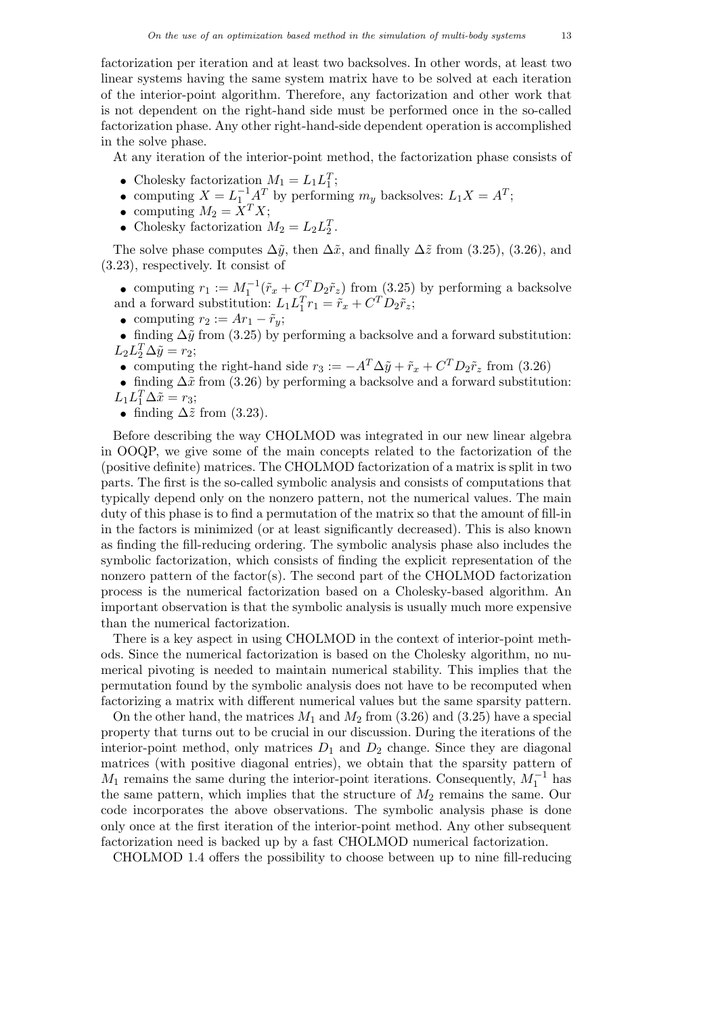factorization per iteration and at least two backsolves. In other words, at least two linear systems having the same system matrix have to be solved at each iteration of the interior-point algorithm. Therefore, any factorization and other work that is not dependent on the right-hand side must be performed once in the so-called factorization phase. Any other right-hand-side dependent operation is accomplished in the solve phase.

At any iteration of the interior-point method, the factorization phase consists of

- Cholesky factorization  $M_1 = L_1 L_1^T$ ;
- Cholesky factorization  $M_1 = L_1 L_1$ ,<br>
 computing  $X = L_1^{-1} A^T$  by performing  $m_y$  backsolves:  $L_1 X = A^T$ ;
- computing  $M_2 = \overline{X}^T X;$
- Cholesky factorization  $M_2 = L_2 L_2^T$ .

The solve phase computes  $\Delta\tilde{y}$ , then  $\Delta\tilde{x}$ , and finally  $\Delta\tilde{z}$  from (3.25), (3.26), and (3.23), respectively. It consist of

• computing  $r_1 := M_1^{-1}(\tilde{r}_x + C_{\tilde{r}}^T D_2 \tilde{r}_z)$  from (3.25) by performing a backsolve and a forward substitution:  $L_1 L_1^T r_1 = \tilde{r}_x + C^T D_2 \tilde{r}_z$ ;

• computing  $r_2 := Ar_1 - \tilde{r}_y;$ 

• finding  $\Delta \tilde{y}$  from (3.25) by performing a backsolve and a forward substitution:  $L_2 L_2^T \Delta \tilde{y} = r_2;$ 

- computing the right-hand side  $r_3 := -A^T \Delta \tilde{y} + \tilde{r}_x + C^T D_2 \tilde{r}_z$  from (3.26)
- finding  $\Delta \tilde{x}$  from (3.26) by performing a backsolve and a forward substitution:  $L_1 L_1^T \Delta \tilde{x} = r_3;$
- finding  $\Delta \tilde{z}$  from (3.23).

Before describing the way CHOLMOD was integrated in our new linear algebra in OOQP, we give some of the main concepts related to the factorization of the (positive definite) matrices. The CHOLMOD factorization of a matrix is split in two parts. The first is the so-called symbolic analysis and consists of computations that typically depend only on the nonzero pattern, not the numerical values. The main duty of this phase is to find a permutation of the matrix so that the amount of fill-in in the factors is minimized (or at least significantly decreased). This is also known as finding the fill-reducing ordering. The symbolic analysis phase also includes the symbolic factorization, which consists of finding the explicit representation of the nonzero pattern of the factor(s). The second part of the CHOLMOD factorization process is the numerical factorization based on a Cholesky-based algorithm. An important observation is that the symbolic analysis is usually much more expensive than the numerical factorization.

There is a key aspect in using CHOLMOD in the context of interior-point methods. Since the numerical factorization is based on the Cholesky algorithm, no numerical pivoting is needed to maintain numerical stability. This implies that the permutation found by the symbolic analysis does not have to be recomputed when factorizing a matrix with different numerical values but the same sparsity pattern.

On the other hand, the matrices  $M_1$  and  $M_2$  from (3.26) and (3.25) have a special property that turns out to be crucial in our discussion. During the iterations of the interior-point method, only matrices  $D_1$  and  $D_2$  change. Since they are diagonal matrices (with positive diagonal entries), we obtain that the sparsity pattern of  $M_1$  remains the same during the interior-point iterations. Consequently,  $M_1^{-1}$  has the same pattern, which implies that the structure of  $M_2$  remains the same. Our code incorporates the above observations. The symbolic analysis phase is done only once at the first iteration of the interior-point method. Any other subsequent factorization need is backed up by a fast CHOLMOD numerical factorization.

CHOLMOD 1.4 offers the possibility to choose between up to nine fill-reducing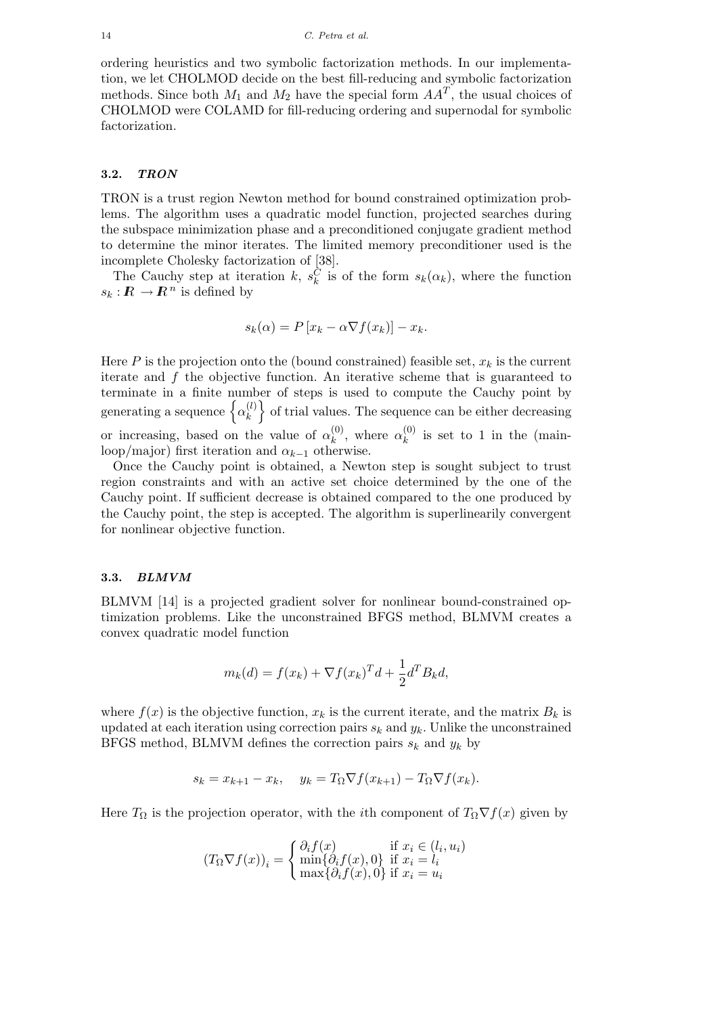ordering heuristics and two symbolic factorization methods. In our implementation, we let CHOLMOD decide on the best fill-reducing and symbolic factorization methods. Since both  $M_1$  and  $M_2$  have the special form  $AA<sup>T</sup>$ , the usual choices of CHOLMOD were COLAMD for fill-reducing ordering and supernodal for symbolic factorization.

### 3.2. TRON

TRON is a trust region Newton method for bound constrained optimization problems. The algorithm uses a quadratic model function, projected searches during the subspace minimization phase and a preconditioned conjugate gradient method to determine the minor iterates. The limited memory preconditioner used is the incomplete Cholesky factorization of [38].

The Cauchy step at iteration k,  $s_k^C$  is of the form  $s_k(\alpha_k)$ , where the function  $s_k: \mathbb{R} \to \mathbb{R}^n$  is defined by

$$
s_k(\alpha) = P[x_k - \alpha \nabla f(x_k)] - x_k.
$$

Here  $P$  is the projection onto the (bound constrained) feasible set,  $x_k$  is the current iterate and  $f$  the objective function. An iterative scheme that is guaranteed to terminate in a finite number of steps is used to compute the Cauchy point by generating a sequence  $\{\alpha_k^{(l)}\}$  $\mathbf{k}^{(l)}$  of trial values. The sequence can be either decreasing or increasing, based on the value of  $\alpha_k^{(0)}$  $\mathbf{r}_{k}^{(0)}$ , where  $\alpha_{k}^{(0)}$  $\kappa^{(0)}$  is set to 1 in the (mainloop/major) first iteration and  $\alpha_{k-1}$  otherwise.

Once the Cauchy point is obtained, a Newton step is sought subject to trust region constraints and with an active set choice determined by the one of the Cauchy point. If sufficient decrease is obtained compared to the one produced by the Cauchy point, the step is accepted. The algorithm is superlinearily convergent for nonlinear objective function.

## 3.3. BLMVM

BLMVM [14] is a projected gradient solver for nonlinear bound-constrained optimization problems. Like the unconstrained BFGS method, BLMVM creates a convex quadratic model function

$$
m_k(d) = f(x_k) + \nabla f(x_k)^T d + \frac{1}{2} d^T B_k d,
$$

where  $f(x)$  is the objective function,  $x_k$  is the current iterate, and the matrix  $B_k$  is updated at each iteration using correction pairs  $s_k$  and  $y_k$ . Unlike the unconstrained BFGS method, BLMVM defines the correction pairs  $s_k$  and  $y_k$  by

$$
s_k = x_{k+1} - x_k, \quad y_k = T_{\Omega} \nabla f(x_{k+1}) - T_{\Omega} \nabla f(x_k).
$$

Here  $T_{\Omega}$  is the projection operator, with the *i*th component of  $T_{\Omega} \nabla f(x)$  given by

$$
(T_{\Omega}\nabla f(x))_i = \begin{cases} \partial_i f(x) & \text{if } x_i \in (l_i, u_i) \\ \min\{\partial_i f(x), 0\} & \text{if } x_i = l_i \\ \max\{\partial_i f(x), 0\} & \text{if } x_i = u_i \end{cases}
$$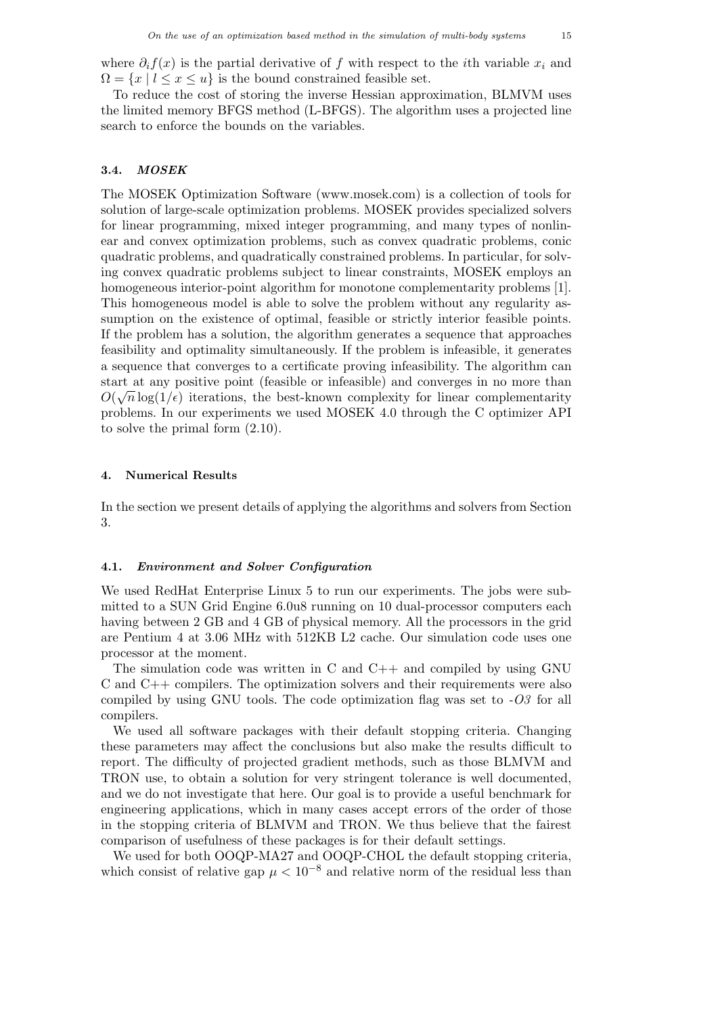where  $\partial_i f(x)$  is the partial derivative of f with respect to the *i*th variable  $x_i$  and  $\Omega = \{x \mid l \leq x \leq u\}$  is the bound constrained feasible set.

To reduce the cost of storing the inverse Hessian approximation, BLMVM uses the limited memory BFGS method (L-BFGS). The algorithm uses a projected line search to enforce the bounds on the variables.

# 3.4. MOSEK

The MOSEK Optimization Software (www.mosek.com) is a collection of tools for solution of large-scale optimization problems. MOSEK provides specialized solvers for linear programming, mixed integer programming, and many types of nonlinear and convex optimization problems, such as convex quadratic problems, conic quadratic problems, and quadratically constrained problems. In particular, for solving convex quadratic problems subject to linear constraints, MOSEK employs an homogeneous interior-point algorithm for monotone complementarity problems [1]. This homogeneous model is able to solve the problem without any regularity assumption on the existence of optimal, feasible or strictly interior feasible points. If the problem has a solution, the algorithm generates a sequence that approaches feasibility and optimality simultaneously. If the problem is infeasible, it generates a sequence that converges to a certificate proving infeasibility. The algorithm can start at any positive point (feasible or infeasible) and converges in no more than  $\hat{O}(\sqrt{1+\hat{O}})$  $O(\sqrt{n}\log(1/\epsilon))$  iterations, the best-known complexity for linear complementarity problems. In our experiments we used MOSEK 4.0 through the C optimizer API to solve the primal form (2.10).

#### 4. Numerical Results

In the section we present details of applying the algorithms and solvers from Section 3.

# 4.1. Environment and Solver Configuration

We used RedHat Enterprise Linux 5 to run our experiments. The jobs were submitted to a SUN Grid Engine 6.0u8 running on 10 dual-processor computers each having between 2 GB and 4 GB of physical memory. All the processors in the grid are Pentium 4 at 3.06 MHz with 512KB L2 cache. Our simulation code uses one processor at the moment.

The simulation code was written in C and  $C_{++}$  and compiled by using GNU C and C++ compilers. The optimization solvers and their requirements were also compiled by using GNU tools. The code optimization flag was set to  $-0.03$  for all compilers.

We used all software packages with their default stopping criteria. Changing these parameters may affect the conclusions but also make the results difficult to report. The difficulty of projected gradient methods, such as those BLMVM and TRON use, to obtain a solution for very stringent tolerance is well documented, and we do not investigate that here. Our goal is to provide a useful benchmark for engineering applications, which in many cases accept errors of the order of those in the stopping criteria of BLMVM and TRON. We thus believe that the fairest comparison of usefulness of these packages is for their default settings.

We used for both OOQP-MA27 and OOQP-CHOL the default stopping criteria, which consist of relative gap  $\mu < 10^{-8}$  and relative norm of the residual less than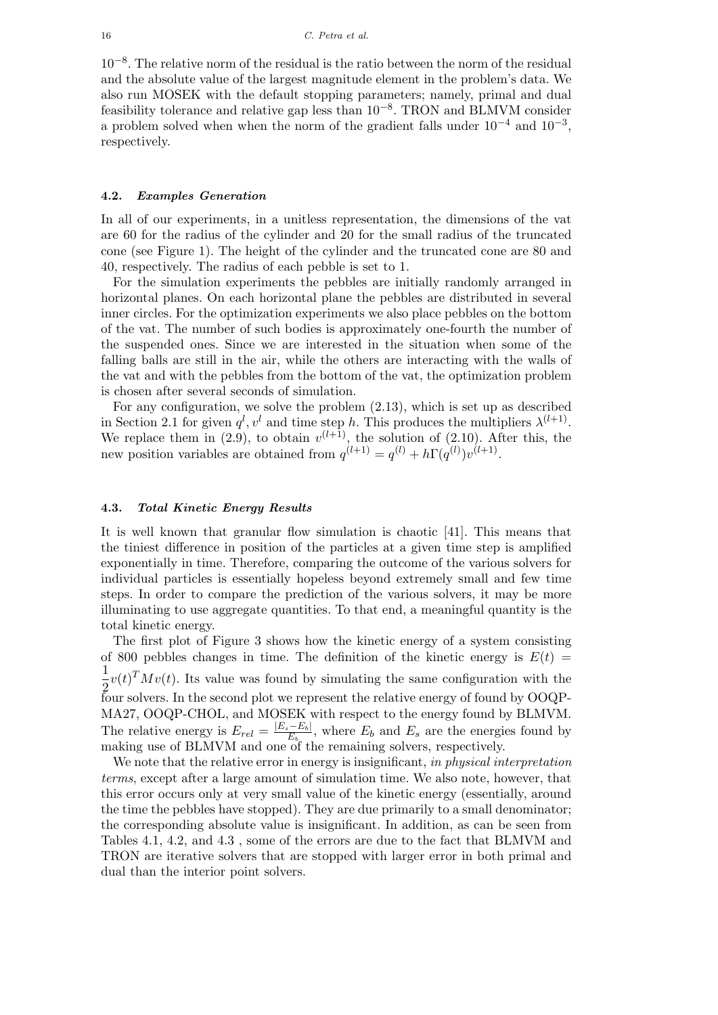10−<sup>8</sup> . The relative norm of the residual is the ratio between the norm of the residual and the absolute value of the largest magnitude element in the problem's data. We also run MOSEK with the default stopping parameters; namely, primal and dual feasibility tolerance and relative gap less than  $10^{-8}$ . TRON and BLMVM consider a problem solved when when the norm of the gradient falls under  $10^{-4}$  and  $10^{-3}$ , respectively.

# 4.2. Examples Generation

In all of our experiments, in a unitless representation, the dimensions of the vat are 60 for the radius of the cylinder and 20 for the small radius of the truncated cone (see Figure 1). The height of the cylinder and the truncated cone are 80 and 40, respectively. The radius of each pebble is set to 1.

For the simulation experiments the pebbles are initially randomly arranged in horizontal planes. On each horizontal plane the pebbles are distributed in several inner circles. For the optimization experiments we also place pebbles on the bottom of the vat. The number of such bodies is approximately one-fourth the number of the suspended ones. Since we are interested in the situation when some of the falling balls are still in the air, while the others are interacting with the walls of the vat and with the pebbles from the bottom of the vat, the optimization problem is chosen after several seconds of simulation.

For any configuration, we solve the problem (2.13), which is set up as described in Section 2.1 for given  $q^l, v^l$  and time step h. This produces the multipliers  $\lambda^{(l+1)}$ . We replace them in (2.9), to obtain  $v^{(l+1)}$ , the solution of (2.10). After this, the new position variables are obtained from  $q^{(l+1)} = q^{(l)} + h\Gamma(q^{(l)})v^{(l+1)}$ .

### 4.3. Total Kinetic Energy Results

It is well known that granular flow simulation is chaotic [41]. This means that the tiniest difference in position of the particles at a given time step is amplified exponentially in time. Therefore, comparing the outcome of the various solvers for individual particles is essentially hopeless beyond extremely small and few time steps. In order to compare the prediction of the various solvers, it may be more illuminating to use aggregate quantities. To that end, a meaningful quantity is the total kinetic energy.

The first plot of Figure 3 shows how the kinetic energy of a system consisting of 800 pebbles changes in time. The definition of the kinetic energy is  $E(t)$  = 1  $\frac{1}{2}v(t)^{T}Mv(t)$ . Its value was found by simulating the same configuration with the four solvers. In the second plot we represent the relative energy of found by OOQP-MA27, OOQP-CHOL, and MOSEK with respect to the energy found by BLMVM. The relative energy is  $E_{rel} = \frac{|E_s - E_b|}{E_b}$  $\frac{E_b-E_b}{E_b}$ , where  $E_b$  and  $E_s$  are the energies found by making use of BLMVM and one of the remaining solvers, respectively.

We note that the relative error in energy is insignificant, in physical interpretation terms, except after a large amount of simulation time. We also note, however, that this error occurs only at very small value of the kinetic energy (essentially, around the time the pebbles have stopped). They are due primarily to a small denominator; the corresponding absolute value is insignificant. In addition, as can be seen from Tables 4.1, 4.2, and 4.3 , some of the errors are due to the fact that BLMVM and TRON are iterative solvers that are stopped with larger error in both primal and dual than the interior point solvers.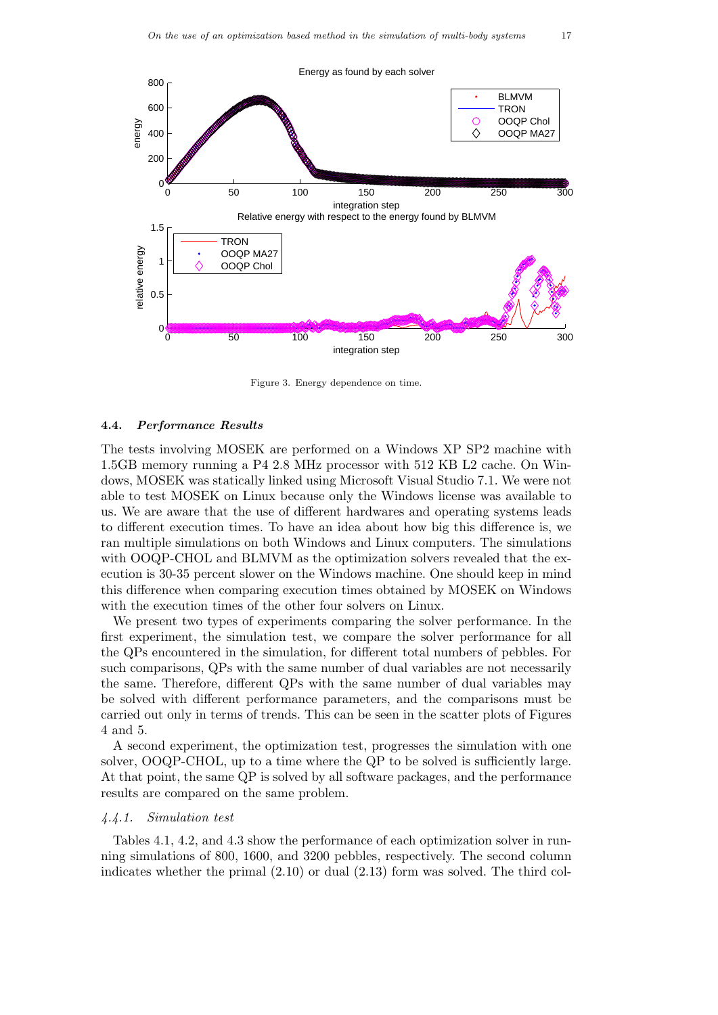

Figure 3. Energy dependence on time.

#### 4.4. Performance Results

The tests involving MOSEK are performed on a Windows XP SP2 machine with 1.5GB memory running a P4 2.8 MHz processor with 512 KB L2 cache. On Windows, MOSEK was statically linked using Microsoft Visual Studio 7.1. We were not able to test MOSEK on Linux because only the Windows license was available to us. We are aware that the use of different hardwares and operating systems leads to different execution times. To have an idea about how big this difference is, we ran multiple simulations on both Windows and Linux computers. The simulations with OOQP-CHOL and BLMVM as the optimization solvers revealed that the execution is 30-35 percent slower on the Windows machine. One should keep in mind this difference when comparing execution times obtained by MOSEK on Windows with the execution times of the other four solvers on Linux.

We present two types of experiments comparing the solver performance. In the first experiment, the simulation test, we compare the solver performance for all the QPs encountered in the simulation, for different total numbers of pebbles. For such comparisons, QPs with the same number of dual variables are not necessarily the same. Therefore, different QPs with the same number of dual variables may be solved with different performance parameters, and the comparisons must be carried out only in terms of trends. This can be seen in the scatter plots of Figures 4 and 5.

A second experiment, the optimization test, progresses the simulation with one solver, OOQP-CHOL, up to a time where the QP to be solved is sufficiently large. At that point, the same QP is solved by all software packages, and the performance results are compared on the same problem.

# 4.4.1. Simulation test

Tables 4.1, 4.2, and 4.3 show the performance of each optimization solver in running simulations of 800, 1600, and 3200 pebbles, respectively. The second column indicates whether the primal  $(2.10)$  or dual  $(2.13)$  form was solved. The third col-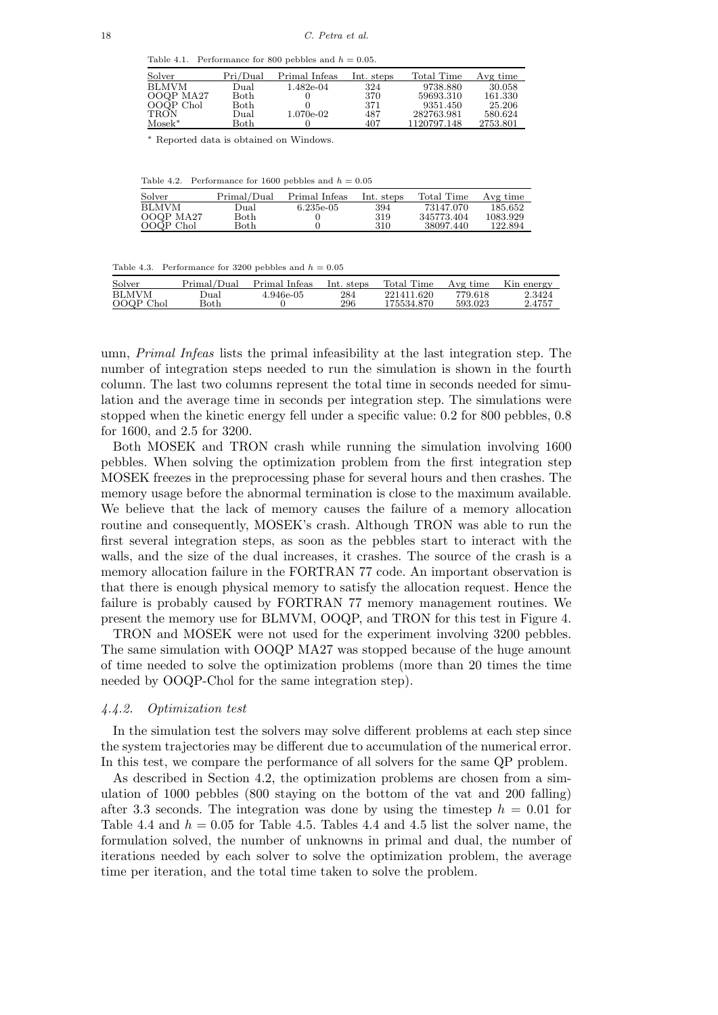Table 4.1. Performance for 800 pebbles and  $h = 0.05$ .

| Solver      | Pri/Dual | Primal Infeas | Int. steps | Total Time  | Avg time |
|-------------|----------|---------------|------------|-------------|----------|
| BLMVM       | Dual     | 1.482e-04     | 324        | 9738.880    | 30.058   |
| OOQP MA27   | Both     |               | 370        | 59693.310   | 161.330  |
| OOQP Chol   | Both     |               | 371        | 9351.450    | 25.206   |
| <b>TRON</b> | Dual     | 1.070e-02     | 487        | 282763.981  | 580.624  |
| $Mosek^*$   | Both     |               | 407        | 1120797.148 | 2753.801 |

<sup>∗</sup> Reported data is obtained on Windows.

Table 4.2. Performance for 1600 pebbles and  $h = 0.05$ 

| Solver                    | Primal/Dual  | Primal Infeas | Int. steps | Total Time              | Avg time            |
|---------------------------|--------------|---------------|------------|-------------------------|---------------------|
| <b>BLMVM</b><br>OOQP MA27 | Dual<br>Both | 6.235e-05     | 394<br>319 | 73147.070<br>345773.404 | 185.652<br>1083.929 |
| OOQP Chol                 | Both         |               | 310        | 38097.440               | 122.894             |

Table 4.3. Performance for 3200 pebbles and  $h = 0.05$ 

| Solver       | Primal/Dual | Primal Infeas | Int. steps | Total Time | Avg time | Kin energy |
|--------------|-------------|---------------|------------|------------|----------|------------|
| <b>BLMVM</b> | ⊅ual        | 4.946e-05     | 284        | 221411.620 | 779.618  | 2.3424     |
| OOQP Chol    | Both        |               | 296        | 175534.870 | 593.023  | 2.4757     |

umn, Primal Infeas lists the primal infeasibility at the last integration step. The number of integration steps needed to run the simulation is shown in the fourth column. The last two columns represent the total time in seconds needed for simulation and the average time in seconds per integration step. The simulations were stopped when the kinetic energy fell under a specific value: 0.2 for 800 pebbles, 0.8 for 1600, and 2.5 for 3200.

Both MOSEK and TRON crash while running the simulation involving 1600 pebbles. When solving the optimization problem from the first integration step MOSEK freezes in the preprocessing phase for several hours and then crashes. The memory usage before the abnormal termination is close to the maximum available. We believe that the lack of memory causes the failure of a memory allocation routine and consequently, MOSEK's crash. Although TRON was able to run the first several integration steps, as soon as the pebbles start to interact with the walls, and the size of the dual increases, it crashes. The source of the crash is a memory allocation failure in the FORTRAN 77 code. An important observation is that there is enough physical memory to satisfy the allocation request. Hence the failure is probably caused by FORTRAN 77 memory management routines. We present the memory use for BLMVM, OOQP, and TRON for this test in Figure 4.

TRON and MOSEK were not used for the experiment involving 3200 pebbles. The same simulation with OOQP MA27 was stopped because of the huge amount of time needed to solve the optimization problems (more than 20 times the time needed by OOQP-Chol for the same integration step).

# 4.4.2. Optimization test

In the simulation test the solvers may solve different problems at each step since the system trajectories may be different due to accumulation of the numerical error. In this test, we compare the performance of all solvers for the same QP problem.

As described in Section 4.2, the optimization problems are chosen from a simulation of 1000 pebbles (800 staying on the bottom of the vat and 200 falling) after 3.3 seconds. The integration was done by using the timestep  $h = 0.01$  for Table 4.4 and  $h = 0.05$  for Table 4.5. Tables 4.4 and 4.5 list the solver name, the formulation solved, the number of unknowns in primal and dual, the number of iterations needed by each solver to solve the optimization problem, the average time per iteration, and the total time taken to solve the problem.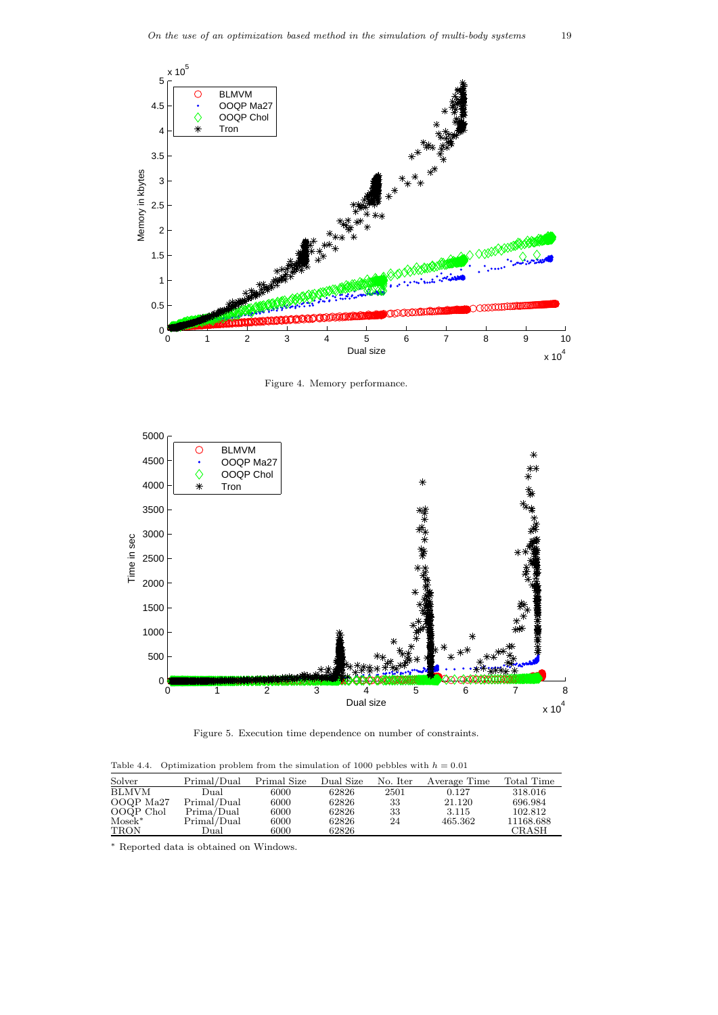

Figure 4. Memory performance.



Figure 5. Execution time dependence on number of constraints.

Table 4.4. Optimization problem from the simulation of 1000 pebbles with  $h = 0.01$ 

| Solver       | Primal/Dual | Primal Size | Dual Size | No. Iter | Average Time | Total Time |
|--------------|-------------|-------------|-----------|----------|--------------|------------|
| <b>BLMVM</b> | Dual        | 6000        | 62826     | 2501     | 0.127        | 318.016    |
| OOQP Ma27    | Primal/Dual | 6000        | 62826     | 33       | 21.120       | 696.984    |
| OOQP Chol    | Prima/Dual  | 6000        | 62826     | 33       | 3.115        | 102.812    |
| $Mosek^*$    | Primal/Dual | 6000        | 62826     | 24       | 465.362      | 11168.688  |
| <b>TRON</b>  | Dual        | 6000        | 62826     |          |              | CRASH      |

<sup>∗</sup> Reported data is obtained on Windows.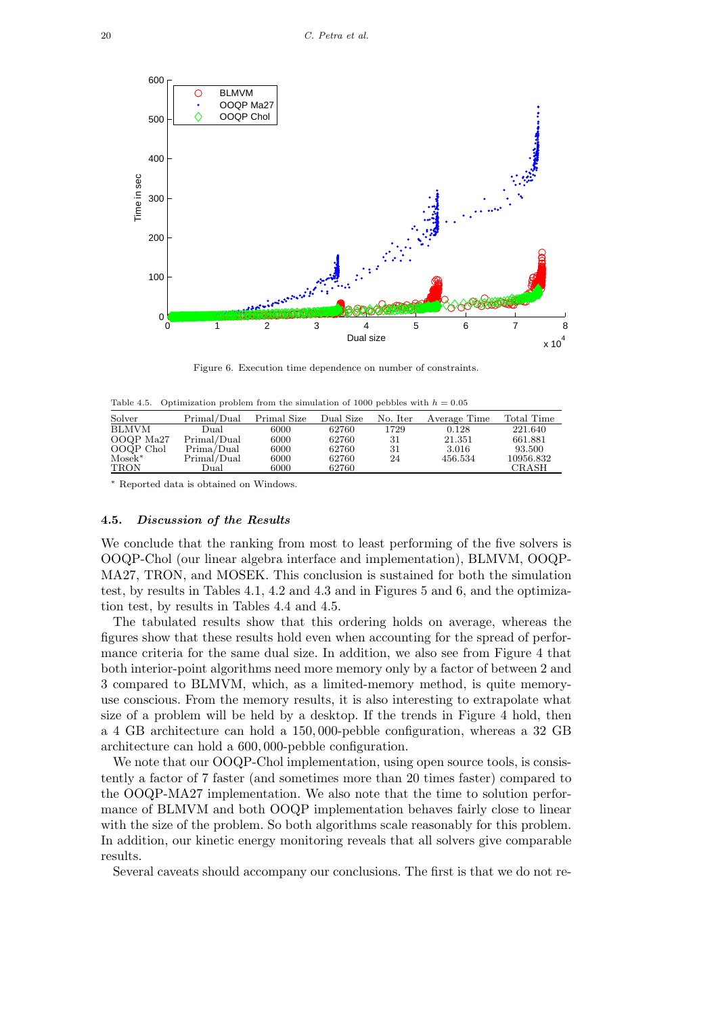

Figure 6. Execution time dependence on number of constraints.

Table 4.5. Optimization problem from the simulation of 1000 pebbles with  $h = 0.05$ 

| Solver       | Primal/Dual | Primal Size | Dual Size | No. Iter | Average Time | Total Time |
|--------------|-------------|-------------|-----------|----------|--------------|------------|
| <b>BLMVM</b> | Dual        | 6000        | 62760     | 1729     | 0.128        | 221.640    |
| OOQP Ma27    | Primal/Dual | 6000        | 62760     | 31       | 21.351       | 661.881    |
| OOQP Chol    | Prima/Dual  | 6000        | 62760     | 31       | 3.016        | 93.500     |
| $Mosek^*$    | Primal/Dual | 6000        | 62760     | 24       | 456.534      | 10956.832  |
| TRON         | Dual        | 6000        | 62760     |          |              | CRASH      |

<sup>∗</sup> Reported data is obtained on Windows.

# 4.5. Discussion of the Results

We conclude that the ranking from most to least performing of the five solvers is OOQP-Chol (our linear algebra interface and implementation), BLMVM, OOQP-MA27, TRON, and MOSEK. This conclusion is sustained for both the simulation test, by results in Tables 4.1, 4.2 and 4.3 and in Figures 5 and 6, and the optimization test, by results in Tables 4.4 and 4.5.

The tabulated results show that this ordering holds on average, whereas the figures show that these results hold even when accounting for the spread of performance criteria for the same dual size. In addition, we also see from Figure 4 that both interior-point algorithms need more memory only by a factor of between 2 and 3 compared to BLMVM, which, as a limited-memory method, is quite memoryuse conscious. From the memory results, it is also interesting to extrapolate what size of a problem will be held by a desktop. If the trends in Figure 4 hold, then a 4 GB architecture can hold a 150, 000-pebble configuration, whereas a 32 GB architecture can hold a 600, 000-pebble configuration.

We note that our OOQP-Chol implementation, using open source tools, is consistently a factor of 7 faster (and sometimes more than 20 times faster) compared to the OOQP-MA27 implementation. We also note that the time to solution performance of BLMVM and both OOQP implementation behaves fairly close to linear with the size of the problem. So both algorithms scale reasonably for this problem. In addition, our kinetic energy monitoring reveals that all solvers give comparable results.

Several caveats should accompany our conclusions. The first is that we do not re-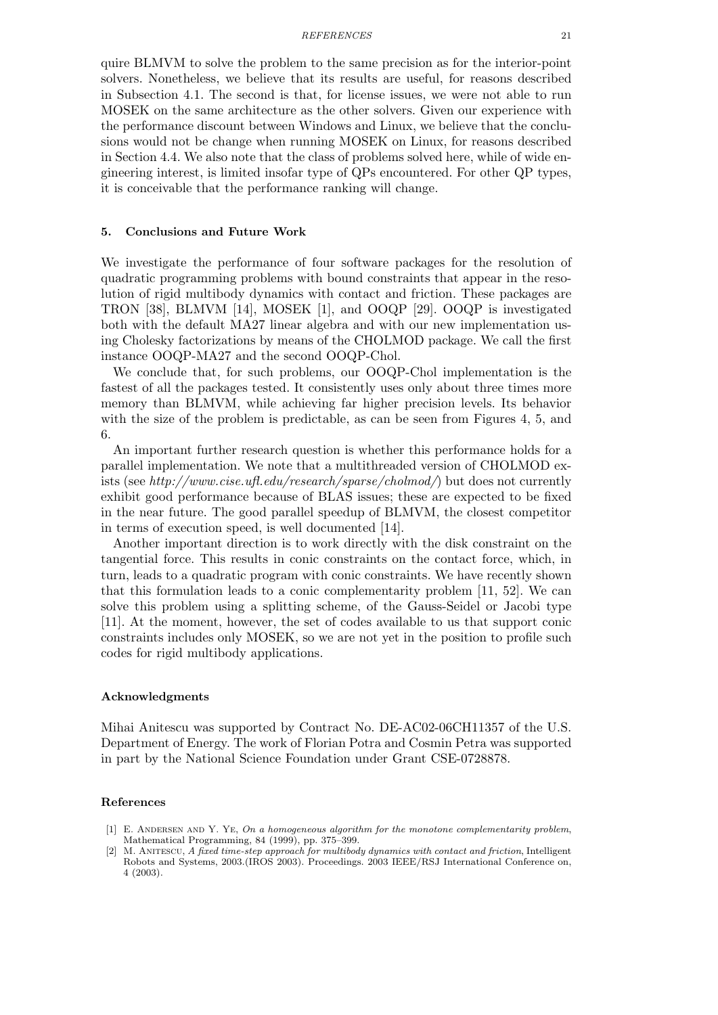#### REFERENCES 21

quire BLMVM to solve the problem to the same precision as for the interior-point solvers. Nonetheless, we believe that its results are useful, for reasons described in Subsection 4.1. The second is that, for license issues, we were not able to run MOSEK on the same architecture as the other solvers. Given our experience with the performance discount between Windows and Linux, we believe that the conclusions would not be change when running MOSEK on Linux, for reasons described in Section 4.4. We also note that the class of problems solved here, while of wide engineering interest, is limited insofar type of QPs encountered. For other QP types, it is conceivable that the performance ranking will change.

### 5. Conclusions and Future Work

We investigate the performance of four software packages for the resolution of quadratic programming problems with bound constraints that appear in the resolution of rigid multibody dynamics with contact and friction. These packages are TRON [38], BLMVM [14], MOSEK [1], and OOQP [29]. OOQP is investigated both with the default MA27 linear algebra and with our new implementation using Cholesky factorizations by means of the CHOLMOD package. We call the first instance OOQP-MA27 and the second OOQP-Chol.

We conclude that, for such problems, our OOQP-Chol implementation is the fastest of all the packages tested. It consistently uses only about three times more memory than BLMVM, while achieving far higher precision levels. Its behavior with the size of the problem is predictable, as can be seen from Figures 4, 5, and 6.

An important further research question is whether this performance holds for a parallel implementation. We note that a multithreaded version of CHOLMOD exists (see http://www.cise.ufl.edu/research/sparse/cholmod/) but does not currently exhibit good performance because of BLAS issues; these are expected to be fixed in the near future. The good parallel speedup of BLMVM, the closest competitor in terms of execution speed, is well documented [14].

Another important direction is to work directly with the disk constraint on the tangential force. This results in conic constraints on the contact force, which, in turn, leads to a quadratic program with conic constraints. We have recently shown that this formulation leads to a conic complementarity problem [11, 52]. We can solve this problem using a splitting scheme, of the Gauss-Seidel or Jacobi type [11]. At the moment, however, the set of codes available to us that support conic constraints includes only MOSEK, so we are not yet in the position to profile such codes for rigid multibody applications.

# Acknowledgments

Mihai Anitescu was supported by Contract No. DE-AC02-06CH11357 of the U.S. Department of Energy. The work of Florian Potra and Cosmin Petra was supported in part by the National Science Foundation under Grant CSE-0728878.

### References

<sup>[1]</sup> E. ANDERSEN AND Y. YE, On a homogeneous algorithm for the monotone complementarity problem, Mathematical Programming, 84 (1999), pp. 375–399.

<sup>[2]</sup> M. Anitescu, A fixed time-step approach for multibody dynamics with contact and friction, Intelligent Robots and Systems, 2003.(IROS 2003). Proceedings. 2003 IEEE/RSJ International Conference on, 4 (2003).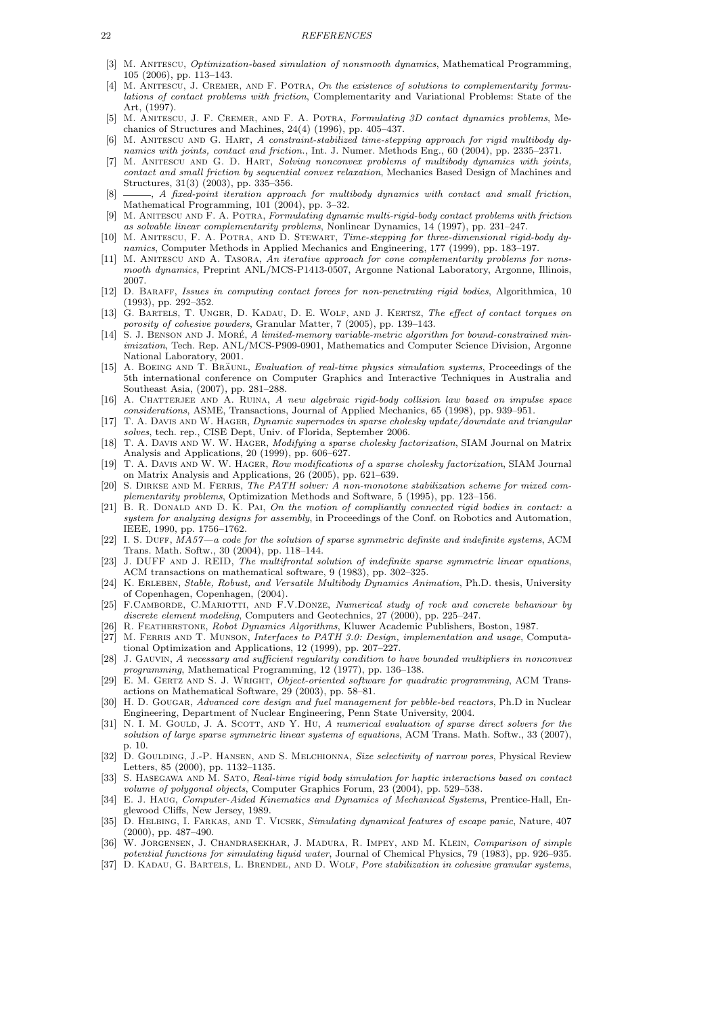#### 22 REFERENCES

- [3] M. ANITESCU, *Optimization-based simulation of nonsmooth dynamics*, Mathematical Programming, 105 (2006), pp. 113–143.
- M. ANITESCU, J. CREMER, AND F. POTRA, On the existence of solutions to complementarity formulations of contact problems with friction, Complementarity and Variational Problems: State of the Art, (1997).
- [5] M. Anitescu, J. F. Cremer, and F. A. Potra, Formulating 3D contact dynamics problems, Mechanics of Structures and Machines, 24(4) (1996), pp. 405–437.
- [6] M. ANITESCU AND G. HART, A constraint-stabilized time-stepping approach for rigid multibody dynamics with joints, contact and friction., Int. J. Numer. Methods Eng., 60 (2004), pp. 2335–2371.
- [7] M. ANITESCU AND G. D. HART, Solving nonconvex problems of multibody dynamics with joints, contact and small friction by sequential convex relaxation, Mechanics Based Design of Machines and Structures, 31(3) (2003), pp. 335–356.
- $\mathcal{A}$ , A fixed-point iteration approach for multibody dynamics with contact and small friction, Mathematical Programming, 101 (2004), pp. 3–32.
- [9] M. Anitescu and F. A. Potra, Formulating dynamic multi-rigid-body contact problems with friction as solvable linear complementarity problems, Nonlinear Dynamics, 14 (1997), pp. 231–247.
- [10] M. ANITESCU, F. A. POTRA, AND D. STEWART, Time-stepping for three-dimensional rigid-body dynamics, Computer Methods in Applied Mechanics and Engineering, 177 (1999), pp. 183–197.
- [11] M. ANITESCU AND A. TASORA, An iterative approach for cone complementarity problems for nonsmooth dynamics, Preprint ANL/MCS-P1413-0507, Argonne National Laboratory, Argonne, Illinois, 2007.
- [12] D. Baraff, Issues in computing contact forces for non-penetrating rigid bodies, Algorithmica, 10 (1993), pp. 292–352.
- [13] G. BARTELS, T. UNGER, D. KADAU, D. E. WOLF, AND J. KERTSZ, The effect of contact torques on porosity of cohesive powders, Granular Matter, 7 (2005), pp. 139–143.
- [14] S. J. BENSON AND J. MORÉ, A limited-memory variable-metric algorithm for bound-constrained minimization, Tech. Rep. ANL/MCS-P909-0901, Mathematics and Computer Science Division, Argonne National Laboratory, 2001.
- [15] A. BOEING AND T. BRAUNL, Evaluation of real-time physics simulation systems, Proceedings of the 5th international conference on Computer Graphics and Interactive Techniques in Australia and Southeast Asia, (2007), pp. 281–288.
- [16] A. CHATTERJEE AND A. RUINA, A new algebraic rigid-body collision law based on impulse space considerations, ASME, Transactions, Journal of Applied Mechanics, 65 (1998), pp. 939–951.
- [17] T. A. DAVIS AND W. HAGER, Dynamic supernodes in sparse cholesky update/downdate and triangular solves, tech. rep., CISE Dept, Univ. of Florida, September 2006.
- [18] T. A. Davis and W. W. Hager, Modifying a sparse cholesky factorization, SIAM Journal on Matrix Analysis and Applications, 20 (1999), pp. 606–627.
- [19] T. A. Davis and W. W. Hager, Row modifications of a sparse cholesky factorization, SIAM Journal on Matrix Analysis and Applications, 26 (2005), pp. 621–639.
- [20] S. Dirkse and M. Ferris, The PATH solver: A non-monotone stabilization scheme for mixed complementarity problems, Optimization Methods and Software, 5 (1995), pp. 123–156.
- [21] B. R. DONALD AND D. K. PAI, On the motion of compliantly connected rigid bodies in contact: a system for analyzing designs for assembly, in Proceedings of the Conf. on Robotics and Automation, IEEE, 1990, pp. 1756–1762.
- [22] I. S. Duff, MA57—a code for the solution of sparse symmetric definite and indefinite systems, ACM Trans. Math. Softw., 30 (2004), pp. 118–144.
- [23] J. DUFF AND J. REID, The multifrontal solution of indefinite sparse symmetric linear equations, ACM transactions on mathematical software, 9 (1983), pp. 302–325.
- [24] K. Erleben, Stable, Robust, and Versatile Multibody Dynamics Animation, Ph.D. thesis, University of Copenhagen, Copenhagen, (2004).
- [25] F.CAMBORDE, C.MARIOTTI, AND F.V.DONZE, Numerical study of rock and concrete behaviour by discrete element modeling, Computers and Geotechnics, 27 (2000), pp. 225-247.
- [26] R. Featherstone, Robot Dynamics Algorithms, Kluwer Academic Publishers, Boston, 1987.
- [27] M. FERRIS AND T. MUNSON, Interfaces to PATH 3.0: Design, implementation and usage, Computational Optimization and Applications, 12 (1999), pp. 207–227.
- [28] J. Gauvin, A necessary and sufficient regularity condition to have bounded multipliers in nonconvex programming, Mathematical Programming, 12 (1977), pp. 136–138.
- [29] E. M. GERTZ AND S. J. WRIGHT, Object-oriented software for quadratic programming, ACM Transactions on Mathematical Software, 29 (2003), pp. 58–81.
- [30] H. D. GOUGAR, Advanced core design and fuel management for pebble-bed reactors, Ph.D in Nuclear Engineering, Department of Nuclear Engineering, Penn State University, 2004.
- [31] N. I. M. GOULD, J. A. SCOTT, AND Y. HU, A numerical evaluation of sparse direct solvers for the solution of large sparse symmetric linear systems of equations, ACM Trans. Math. Softw., 33 (2007), p. 10.
- [32] D. GOULDING, J.-P. HANSEN, AND S. MELCHIONNA, Size selectivity of narrow pores, Physical Review Letters, 85 (2000), pp. 1132–1135.
- [33] S. HASEGAWA AND M. SATO, Real-time rigid body simulation for haptic interactions based on contact volume of polygonal objects, Computer Graphics Forum, 23 (2004), pp. 529–538.
- [34] E. J. Haug, Computer-Aided Kinematics and Dynamics of Mechanical Systems, Prentice-Hall, Englewood Cliffs, New Jersey, 1989.
- [35] D. Helbing, I. Farkas, and T. Vicsek, Simulating dynamical features of escape panic, Nature, 407 (2000), pp. 487–490.
- [36] W. JORGENSEN, J. CHANDRASEKHAR, J. MADURA, R. IMPEY, AND M. KLEIN, Comparison of simple potential functions for simulating liquid water, Journal of Chemical Physics, 79 (1983), pp. 926-935.
- [37] D. KADAU, G. BARTELS, L. BRENDEL, AND D. WOLF, Pore stabilization in cohesive granular systems,